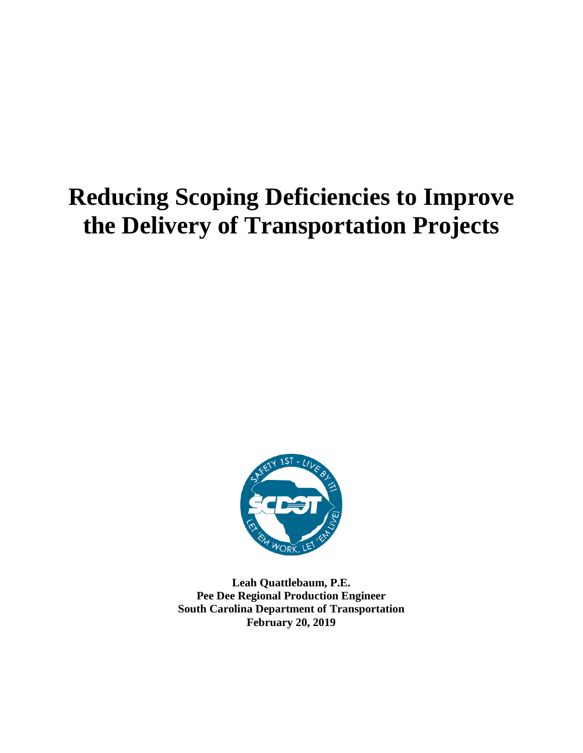# **Reducing Scoping Deficiencies to Improve the Delivery of Transportation Projects**



**Leah Quattlebaum, P.E. Pee Dee Regional Production Engineer South Carolina Department of Transportation February 20, 2019**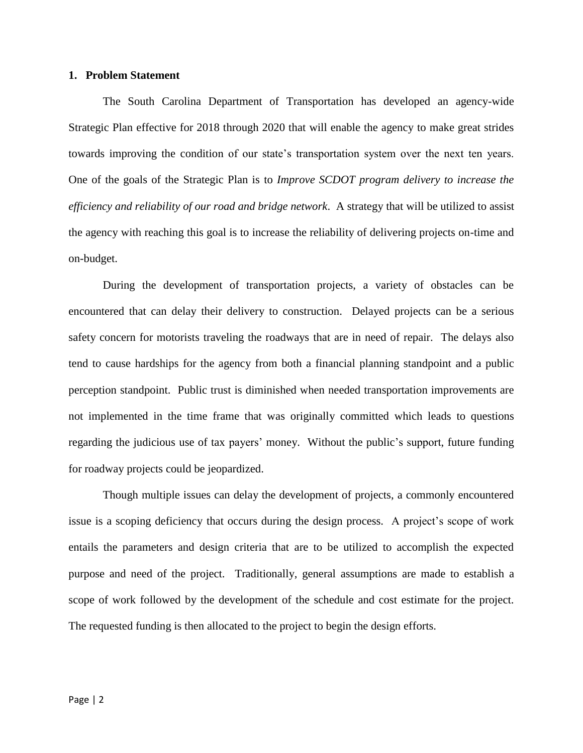## **1. Problem Statement**

The South Carolina Department of Transportation has developed an agency-wide Strategic Plan effective for 2018 through 2020 that will enable the agency to make great strides towards improving the condition of our state's transportation system over the next ten years. One of the goals of the Strategic Plan is to *Improve SCDOT program delivery to increase the efficiency and reliability of our road and bridge network*. A strategy that will be utilized to assist the agency with reaching this goal is to increase the reliability of delivering projects on-time and on-budget.

During the development of transportation projects, a variety of obstacles can be encountered that can delay their delivery to construction. Delayed projects can be a serious safety concern for motorists traveling the roadways that are in need of repair. The delays also tend to cause hardships for the agency from both a financial planning standpoint and a public perception standpoint. Public trust is diminished when needed transportation improvements are not implemented in the time frame that was originally committed which leads to questions regarding the judicious use of tax payers' money. Without the public's support, future funding for roadway projects could be jeopardized.

Though multiple issues can delay the development of projects, a commonly encountered issue is a scoping deficiency that occurs during the design process. A project's scope of work entails the parameters and design criteria that are to be utilized to accomplish the expected purpose and need of the project. Traditionally, general assumptions are made to establish a scope of work followed by the development of the schedule and cost estimate for the project. The requested funding is then allocated to the project to begin the design efforts.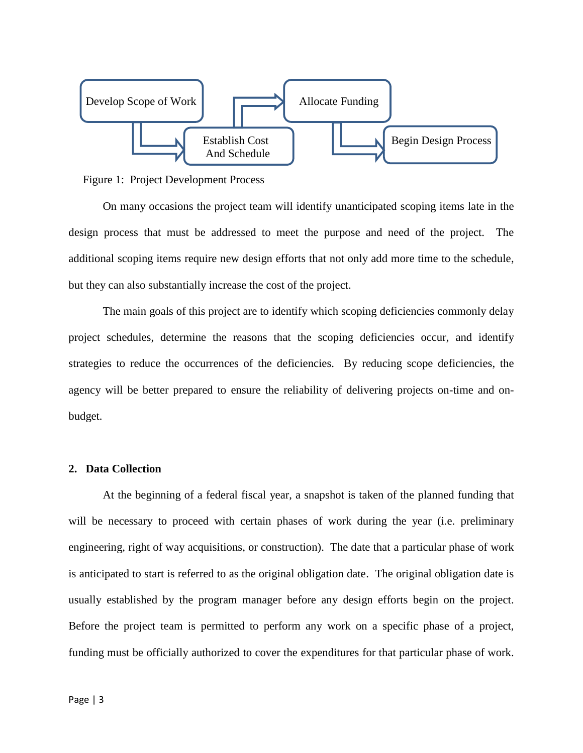

Figure 1: Project Development Process

On many occasions the project team will identify unanticipated scoping items late in the design process that must be addressed to meet the purpose and need of the project. The additional scoping items require new design efforts that not only add more time to the schedule, but they can also substantially increase the cost of the project.

The main goals of this project are to identify which scoping deficiencies commonly delay project schedules, determine the reasons that the scoping deficiencies occur, and identify strategies to reduce the occurrences of the deficiencies. By reducing scope deficiencies, the agency will be better prepared to ensure the reliability of delivering projects on-time and onbudget.

# **2. Data Collection**

At the beginning of a federal fiscal year, a snapshot is taken of the planned funding that will be necessary to proceed with certain phases of work during the year (i.e. preliminary engineering, right of way acquisitions, or construction). The date that a particular phase of work is anticipated to start is referred to as the original obligation date. The original obligation date is usually established by the program manager before any design efforts begin on the project. Before the project team is permitted to perform any work on a specific phase of a project, funding must be officially authorized to cover the expenditures for that particular phase of work.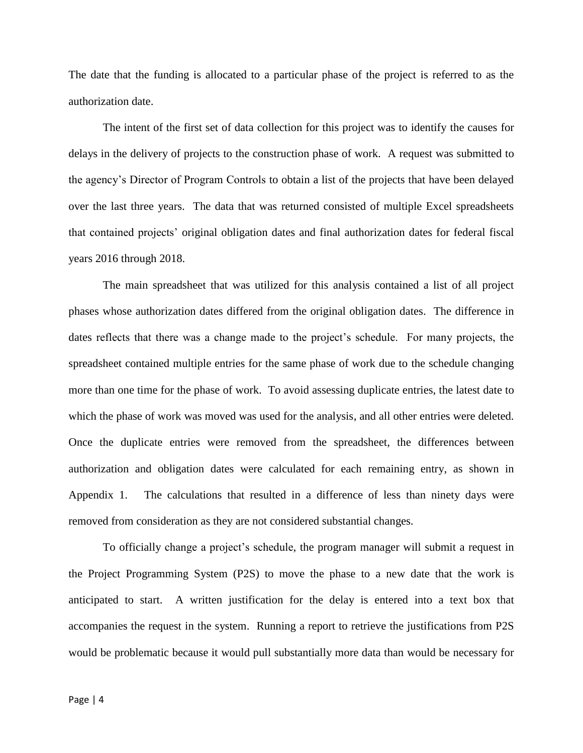The date that the funding is allocated to a particular phase of the project is referred to as the authorization date.

The intent of the first set of data collection for this project was to identify the causes for delays in the delivery of projects to the construction phase of work. A request was submitted to the agency's Director of Program Controls to obtain a list of the projects that have been delayed over the last three years. The data that was returned consisted of multiple Excel spreadsheets that contained projects' original obligation dates and final authorization dates for federal fiscal years 2016 through 2018.

The main spreadsheet that was utilized for this analysis contained a list of all project phases whose authorization dates differed from the original obligation dates. The difference in dates reflects that there was a change made to the project's schedule. For many projects, the spreadsheet contained multiple entries for the same phase of work due to the schedule changing more than one time for the phase of work. To avoid assessing duplicate entries, the latest date to which the phase of work was moved was used for the analysis, and all other entries were deleted. Once the duplicate entries were removed from the spreadsheet, the differences between authorization and obligation dates were calculated for each remaining entry, as shown in Appendix 1. The calculations that resulted in a difference of less than ninety days were removed from consideration as they are not considered substantial changes.

To officially change a project's schedule, the program manager will submit a request in the Project Programming System (P2S) to move the phase to a new date that the work is anticipated to start. A written justification for the delay is entered into a text box that accompanies the request in the system. Running a report to retrieve the justifications from P2S would be problematic because it would pull substantially more data than would be necessary for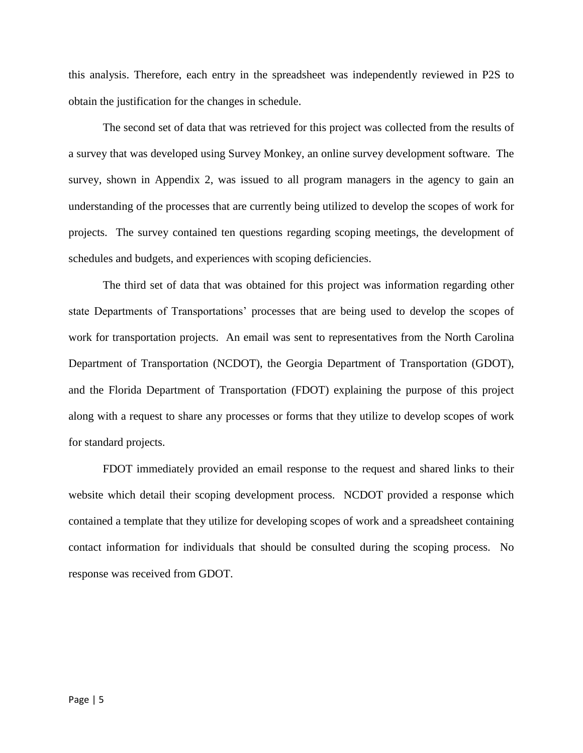this analysis. Therefore, each entry in the spreadsheet was independently reviewed in P2S to obtain the justification for the changes in schedule.

The second set of data that was retrieved for this project was collected from the results of a survey that was developed using Survey Monkey, an online survey development software. The survey, shown in Appendix 2, was issued to all program managers in the agency to gain an understanding of the processes that are currently being utilized to develop the scopes of work for projects. The survey contained ten questions regarding scoping meetings, the development of schedules and budgets, and experiences with scoping deficiencies.

The third set of data that was obtained for this project was information regarding other state Departments of Transportations' processes that are being used to develop the scopes of work for transportation projects. An email was sent to representatives from the North Carolina Department of Transportation (NCDOT), the Georgia Department of Transportation (GDOT), and the Florida Department of Transportation (FDOT) explaining the purpose of this project along with a request to share any processes or forms that they utilize to develop scopes of work for standard projects.

FDOT immediately provided an email response to the request and shared links to their website which detail their scoping development process. NCDOT provided a response which contained a template that they utilize for developing scopes of work and a spreadsheet containing contact information for individuals that should be consulted during the scoping process. No response was received from GDOT.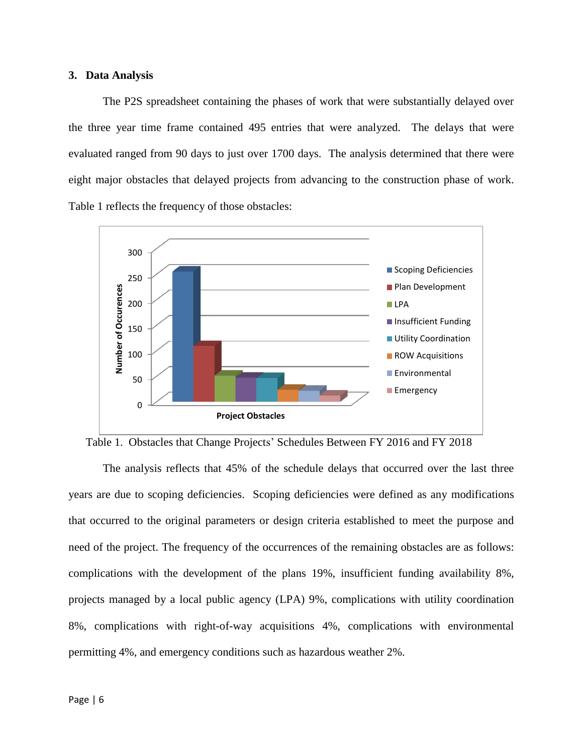# **3. Data Analysis**

The P2S spreadsheet containing the phases of work that were substantially delayed over the three year time frame contained 495 entries that were analyzed. The delays that were evaluated ranged from 90 days to just over 1700 days. The analysis determined that there were eight major obstacles that delayed projects from advancing to the construction phase of work. Table 1 reflects the frequency of those obstacles:



Table 1. Obstacles that Change Projects' Schedules Between FY 2016 and FY 2018

The analysis reflects that 45% of the schedule delays that occurred over the last three years are due to scoping deficiencies. Scoping deficiencies were defined as any modifications that occurred to the original parameters or design criteria established to meet the purpose and need of the project. The frequency of the occurrences of the remaining obstacles are as follows: complications with the development of the plans 19%, insufficient funding availability 8%, projects managed by a local public agency (LPA) 9%, complications with utility coordination 8%, complications with right-of-way acquisitions 4%, complications with environmental permitting 4%, and emergency conditions such as hazardous weather 2%.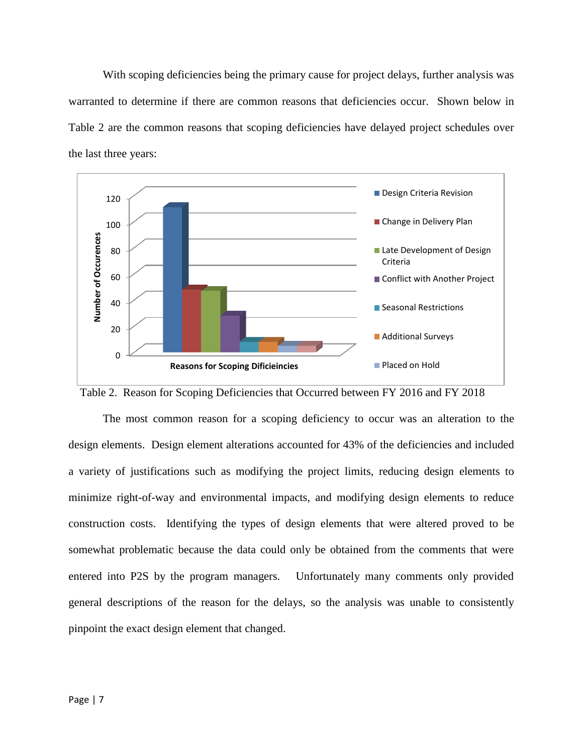With scoping deficiencies being the primary cause for project delays, further analysis was warranted to determine if there are common reasons that deficiencies occur. Shown below in Table 2 are the common reasons that scoping deficiencies have delayed project schedules over the last three years:



Table 2. Reason for Scoping Deficiencies that Occurred between FY 2016 and FY 2018

The most common reason for a scoping deficiency to occur was an alteration to the design elements. Design element alterations accounted for 43% of the deficiencies and included a variety of justifications such as modifying the project limits, reducing design elements to minimize right-of-way and environmental impacts, and modifying design elements to reduce construction costs. Identifying the types of design elements that were altered proved to be somewhat problematic because the data could only be obtained from the comments that were entered into P2S by the program managers. Unfortunately many comments only provided general descriptions of the reason for the delays, so the analysis was unable to consistently pinpoint the exact design element that changed.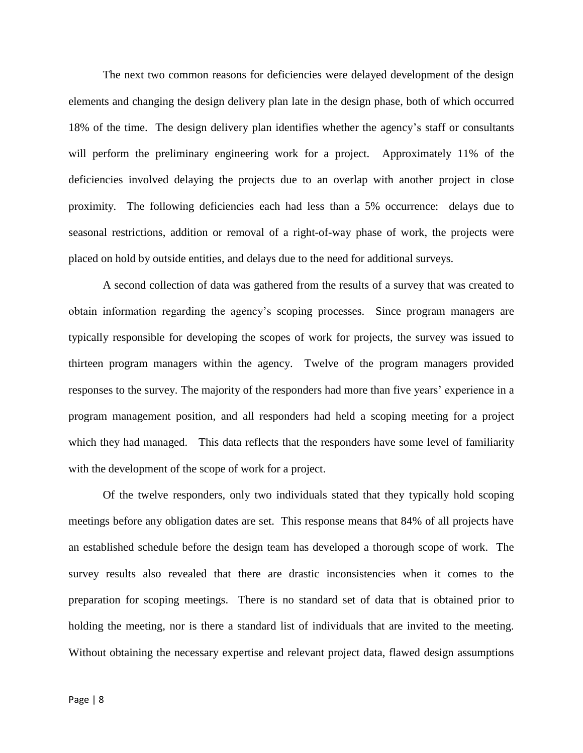The next two common reasons for deficiencies were delayed development of the design elements and changing the design delivery plan late in the design phase, both of which occurred 18% of the time. The design delivery plan identifies whether the agency's staff or consultants will perform the preliminary engineering work for a project. Approximately 11% of the deficiencies involved delaying the projects due to an overlap with another project in close proximity. The following deficiencies each had less than a 5% occurrence: delays due to seasonal restrictions, addition or removal of a right-of-way phase of work, the projects were placed on hold by outside entities, and delays due to the need for additional surveys.

A second collection of data was gathered from the results of a survey that was created to obtain information regarding the agency's scoping processes. Since program managers are typically responsible for developing the scopes of work for projects, the survey was issued to thirteen program managers within the agency. Twelve of the program managers provided responses to the survey. The majority of the responders had more than five years' experience in a program management position, and all responders had held a scoping meeting for a project which they had managed. This data reflects that the responders have some level of familiarity with the development of the scope of work for a project.

Of the twelve responders, only two individuals stated that they typically hold scoping meetings before any obligation dates are set. This response means that 84% of all projects have an established schedule before the design team has developed a thorough scope of work. The survey results also revealed that there are drastic inconsistencies when it comes to the preparation for scoping meetings. There is no standard set of data that is obtained prior to holding the meeting, nor is there a standard list of individuals that are invited to the meeting. Without obtaining the necessary expertise and relevant project data, flawed design assumptions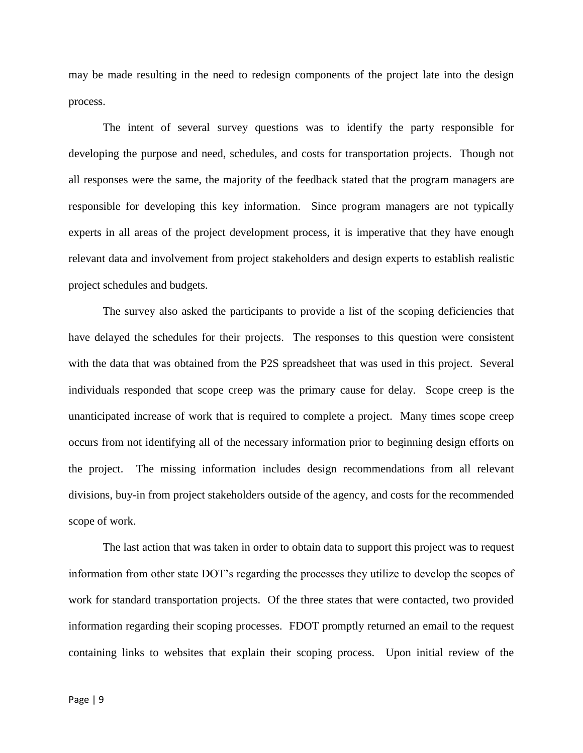may be made resulting in the need to redesign components of the project late into the design process.

The intent of several survey questions was to identify the party responsible for developing the purpose and need, schedules, and costs for transportation projects. Though not all responses were the same, the majority of the feedback stated that the program managers are responsible for developing this key information. Since program managers are not typically experts in all areas of the project development process, it is imperative that they have enough relevant data and involvement from project stakeholders and design experts to establish realistic project schedules and budgets.

The survey also asked the participants to provide a list of the scoping deficiencies that have delayed the schedules for their projects. The responses to this question were consistent with the data that was obtained from the P2S spreadsheet that was used in this project. Several individuals responded that scope creep was the primary cause for delay. Scope creep is the unanticipated increase of work that is required to complete a project. Many times scope creep occurs from not identifying all of the necessary information prior to beginning design efforts on the project. The missing information includes design recommendations from all relevant divisions, buy-in from project stakeholders outside of the agency, and costs for the recommended scope of work.

The last action that was taken in order to obtain data to support this project was to request information from other state DOT's regarding the processes they utilize to develop the scopes of work for standard transportation projects. Of the three states that were contacted, two provided information regarding their scoping processes. FDOT promptly returned an email to the request containing links to websites that explain their scoping process. Upon initial review of the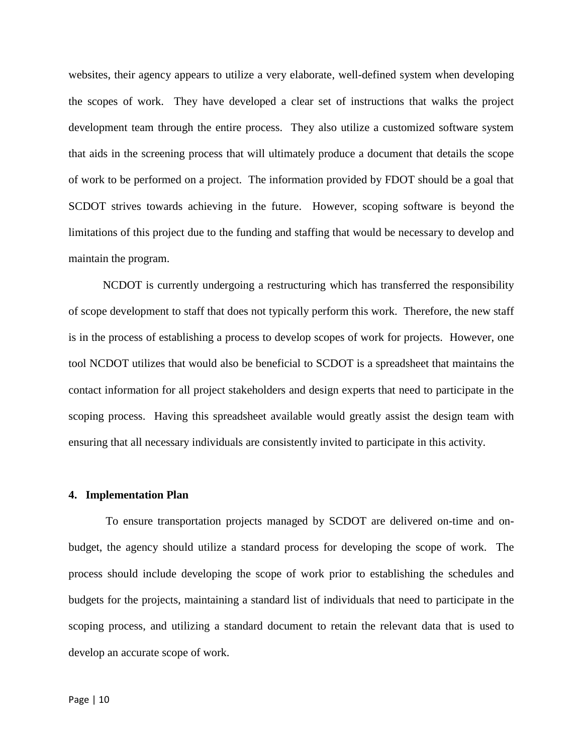websites, their agency appears to utilize a very elaborate, well-defined system when developing the scopes of work. They have developed a clear set of instructions that walks the project development team through the entire process. They also utilize a customized software system that aids in the screening process that will ultimately produce a document that details the scope of work to be performed on a project. The information provided by FDOT should be a goal that SCDOT strives towards achieving in the future. However, scoping software is beyond the limitations of this project due to the funding and staffing that would be necessary to develop and maintain the program.

NCDOT is currently undergoing a restructuring which has transferred the responsibility of scope development to staff that does not typically perform this work. Therefore, the new staff is in the process of establishing a process to develop scopes of work for projects. However, one tool NCDOT utilizes that would also be beneficial to SCDOT is a spreadsheet that maintains the contact information for all project stakeholders and design experts that need to participate in the scoping process. Having this spreadsheet available would greatly assist the design team with ensuring that all necessary individuals are consistently invited to participate in this activity.

#### **4. Implementation Plan**

To ensure transportation projects managed by SCDOT are delivered on-time and onbudget, the agency should utilize a standard process for developing the scope of work. The process should include developing the scope of work prior to establishing the schedules and budgets for the projects, maintaining a standard list of individuals that need to participate in the scoping process, and utilizing a standard document to retain the relevant data that is used to develop an accurate scope of work.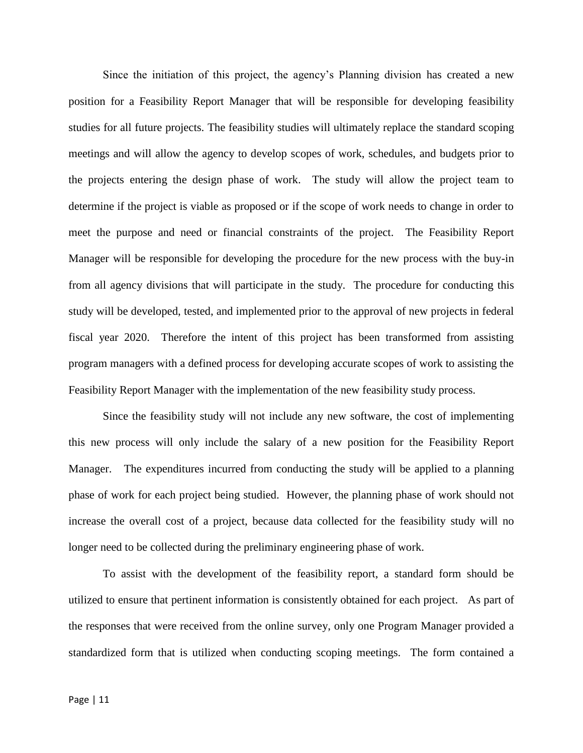Since the initiation of this project, the agency's Planning division has created a new position for a Feasibility Report Manager that will be responsible for developing feasibility studies for all future projects. The feasibility studies will ultimately replace the standard scoping meetings and will allow the agency to develop scopes of work, schedules, and budgets prior to the projects entering the design phase of work. The study will allow the project team to determine if the project is viable as proposed or if the scope of work needs to change in order to meet the purpose and need or financial constraints of the project. The Feasibility Report Manager will be responsible for developing the procedure for the new process with the buy-in from all agency divisions that will participate in the study. The procedure for conducting this study will be developed, tested, and implemented prior to the approval of new projects in federal fiscal year 2020. Therefore the intent of this project has been transformed from assisting program managers with a defined process for developing accurate scopes of work to assisting the Feasibility Report Manager with the implementation of the new feasibility study process.

Since the feasibility study will not include any new software, the cost of implementing this new process will only include the salary of a new position for the Feasibility Report Manager. The expenditures incurred from conducting the study will be applied to a planning phase of work for each project being studied. However, the planning phase of work should not increase the overall cost of a project, because data collected for the feasibility study will no longer need to be collected during the preliminary engineering phase of work.

To assist with the development of the feasibility report, a standard form should be utilized to ensure that pertinent information is consistently obtained for each project. As part of the responses that were received from the online survey, only one Program Manager provided a standardized form that is utilized when conducting scoping meetings. The form contained a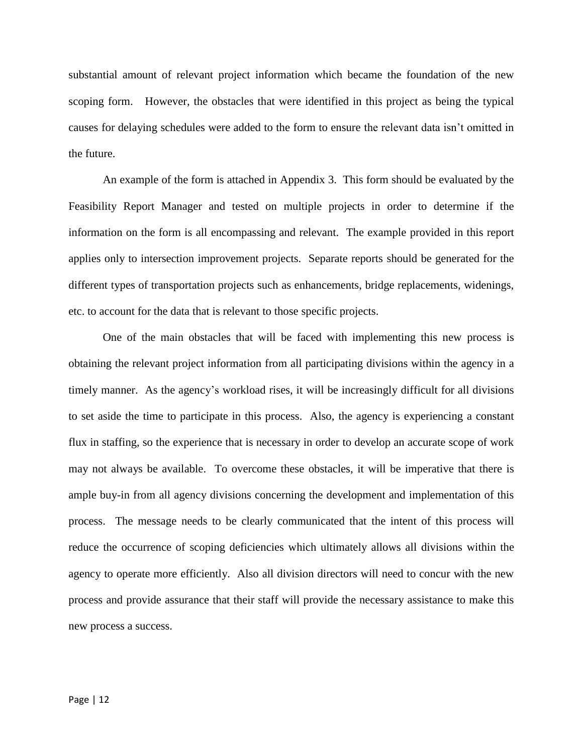substantial amount of relevant project information which became the foundation of the new scoping form. However, the obstacles that were identified in this project as being the typical causes for delaying schedules were added to the form to ensure the relevant data isn't omitted in the future.

An example of the form is attached in Appendix 3. This form should be evaluated by the Feasibility Report Manager and tested on multiple projects in order to determine if the information on the form is all encompassing and relevant. The example provided in this report applies only to intersection improvement projects. Separate reports should be generated for the different types of transportation projects such as enhancements, bridge replacements, widenings, etc. to account for the data that is relevant to those specific projects.

One of the main obstacles that will be faced with implementing this new process is obtaining the relevant project information from all participating divisions within the agency in a timely manner. As the agency's workload rises, it will be increasingly difficult for all divisions to set aside the time to participate in this process. Also, the agency is experiencing a constant flux in staffing, so the experience that is necessary in order to develop an accurate scope of work may not always be available. To overcome these obstacles, it will be imperative that there is ample buy-in from all agency divisions concerning the development and implementation of this process. The message needs to be clearly communicated that the intent of this process will reduce the occurrence of scoping deficiencies which ultimately allows all divisions within the agency to operate more efficiently. Also all division directors will need to concur with the new process and provide assurance that their staff will provide the necessary assistance to make this new process a success.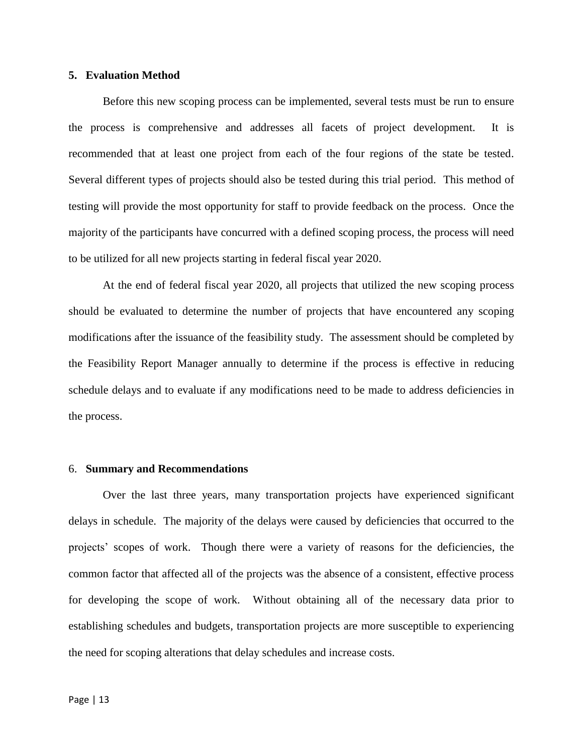# **5. Evaluation Method**

Before this new scoping process can be implemented, several tests must be run to ensure the process is comprehensive and addresses all facets of project development. It is recommended that at least one project from each of the four regions of the state be tested. Several different types of projects should also be tested during this trial period. This method of testing will provide the most opportunity for staff to provide feedback on the process. Once the majority of the participants have concurred with a defined scoping process, the process will need to be utilized for all new projects starting in federal fiscal year 2020.

At the end of federal fiscal year 2020, all projects that utilized the new scoping process should be evaluated to determine the number of projects that have encountered any scoping modifications after the issuance of the feasibility study. The assessment should be completed by the Feasibility Report Manager annually to determine if the process is effective in reducing schedule delays and to evaluate if any modifications need to be made to address deficiencies in the process.

#### 6. **Summary and Recommendations**

Over the last three years, many transportation projects have experienced significant delays in schedule. The majority of the delays were caused by deficiencies that occurred to the projects' scopes of work. Though there were a variety of reasons for the deficiencies, the common factor that affected all of the projects was the absence of a consistent, effective process for developing the scope of work. Without obtaining all of the necessary data prior to establishing schedules and budgets, transportation projects are more susceptible to experiencing the need for scoping alterations that delay schedules and increase costs.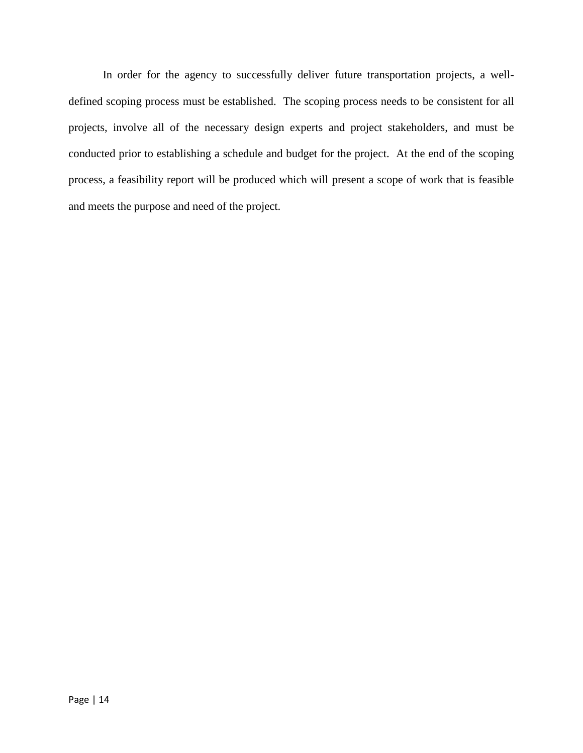In order for the agency to successfully deliver future transportation projects, a welldefined scoping process must be established. The scoping process needs to be consistent for all projects, involve all of the necessary design experts and project stakeholders, and must be conducted prior to establishing a schedule and budget for the project. At the end of the scoping process, a feasibility report will be produced which will present a scope of work that is feasible and meets the purpose and need of the project.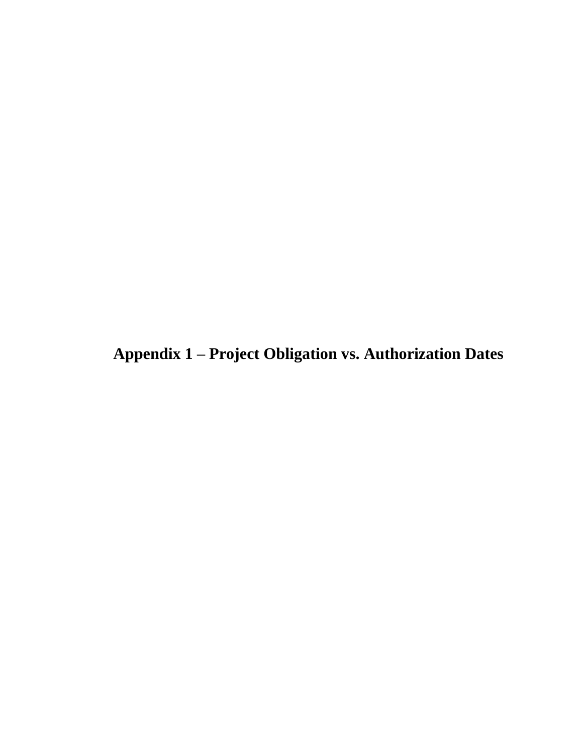**Appendix 1 – Project Obligation vs. Authorization Dates**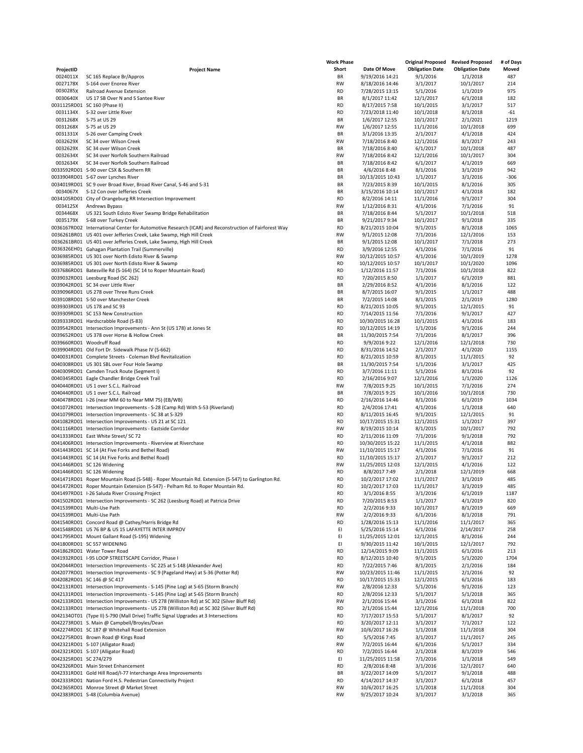|                        |                                                                                                      | <b>Work Phase</b> |                  | <b>Original Proposed</b> | <b>Revised Proposed</b> | # of Days |
|------------------------|------------------------------------------------------------------------------------------------------|-------------------|------------------|--------------------------|-------------------------|-----------|
| ProjectID              | <b>Project Name</b>                                                                                  | Short             | Date Of Move     | <b>Obligation Date</b>   | <b>Obligation Date</b>  | Moved     |
| 0024011X               | SC 165 Replace Br/Appros                                                                             | BR                | 9/19/2016 14:21  | 9/1/2016                 | 1/1/2018                | 487       |
| 0027178X               | S-164 over Enoree River                                                                              | RW                | 8/18/2016 14:46  | 3/1/2017                 | 10/1/2017               | 214       |
|                        |                                                                                                      |                   |                  |                          |                         |           |
| 0030285X               | Railroad Avenue Extension                                                                            | <b>RD</b>         | 7/28/2015 13:15  | 5/1/2016                 | 1/1/2019                | 975       |
| 0030640X               | US 17 SB Over N and S Santee River                                                                   | BR                | 8/1/2017 11:42   | 12/1/2017                | 6/1/2018                | 182       |
|                        | 0031125RD01 SC 160 (Phase II)                                                                        | <b>RD</b>         | 8/17/2015 7:58   | 10/1/2015                | 3/1/2017                | 517       |
| 0031134X               | S-32 over Little River                                                                               | <b>RD</b>         | 7/23/2018 11:40  | 10/1/2018                | 8/1/2018                | $-61$     |
| 0031268X               | S-75 at US 29                                                                                        | BR                | 1/6/2017 12:55   | 10/1/2017                | 2/1/2021                | 1219      |
| 0031268X               | S-75 at US 29                                                                                        | <b>RW</b>         | 1/6/2017 12:55   | 11/1/2016                | 10/1/2018               | 699       |
|                        |                                                                                                      |                   |                  |                          |                         |           |
| 0031331X               | S-26 over Camping Creek                                                                              | BR                | 3/1/2016 13:35   | 2/1/2017                 | 4/1/2018                | 424       |
| 0032629X               | SC 34 over Wilson Creek                                                                              | <b>RW</b>         | 7/18/2016 8:40   | 12/1/2016                | 8/1/2017                | 243       |
| 0032629X               | SC 34 over Wilson Creek                                                                              | BR                | 7/18/2016 8:40   | 6/1/2017                 | 10/1/2018               | 487       |
| 0032634X               | SC 34 over Norfolk Southern Railroad                                                                 | <b>RW</b>         | 7/18/2016 8:42   | 12/1/2016                | 10/1/2017               | 304       |
| 0032634X               | SC 34 over Norfolk Southern Railroad                                                                 | BR                | 7/18/2016 8:42   | 6/1/2017                 | 4/1/2019                | 669       |
|                        | 0033592RD01 S-90 over CSX & Southern RR                                                              | BR                | 4/6/2016 8:48    | 8/1/2016                 | 3/1/2019                | 942       |
|                        | 0033904RD01 S-67 over Lynches River                                                                  | BR                | 10/13/2015 10:43 | 1/1/2017                 | 3/1/2016                | $-306$    |
|                        |                                                                                                      |                   |                  |                          |                         |           |
|                        | 0034019RD01 SC 9 over Broad River, Broad River Canal, S-46 and S-31                                  | BR                | 7/23/2015 8:39   | 10/1/2015                | 8/1/2016                | 305       |
| 0034067X               | S-12 Con over Jefferies Creek                                                                        | BR                | 3/15/2016 10:14  | 10/1/2017                | 4/1/2018                | 182       |
|                        | 0034105RD01 City of Orangeburg RR Intersection Improvement                                           | <b>RD</b>         | 8/2/2016 14:11   | 11/1/2016                | 9/1/2017                | 304       |
| 0034125X               | Andrews Bypass                                                                                       | <b>RW</b>         | 1/12/2016 8:31   | 4/1/2016                 | 7/1/2016                | 91        |
| 0034468X               | US 321 South Edisto River Swamp Bridge Rehabilitation                                                | BR                | 7/18/2016 8:44   | 5/1/2017                 | 10/1/2018               | 518       |
| 0035179X               | S-68 over Turkey Creek                                                                               | BR                | 9/21/2017 9:34   | 10/1/2017                | 9/1/2018                | 335       |
|                        |                                                                                                      |                   |                  |                          |                         |           |
|                        | 0036167RD02 International Center for Automotive Research (ICAR) and Reconstruction of Fairforest Way | <b>RD</b>         | 8/21/2015 10:04  | 9/1/2015                 | 8/1/2018                | 1065      |
|                        | 0036261BR01 US 401 over Jefferies Creek, Lake Swamp, High Hill Creek                                 | <b>RW</b>         | 9/1/2015 12:08   | 7/1/2016                 | 12/1/2016               | 153       |
|                        | 0036261BR01 US 401 over Jefferies Creek, Lake Swamp, High Hill Creek                                 | BR                | 9/1/2015 12:08   | 10/1/2017                | 7/1/2018                | 273       |
|                        | 0036326EH01 Gahagan Plantation Trail (Summerville)                                                   | RD                | 3/9/2016 12:55   | 4/1/2016                 | 7/1/2016                | 91        |
|                        | 0036985RD01 US 301 over North Edisto River & Swamp                                                   | <b>RW</b>         | 10/12/2015 10:57 | 4/1/2016                 | 10/1/2019               | 1278      |
|                        | 0036985RD01 US 301 over North Edisto River & Swamp                                                   | <b>RD</b>         | 10/12/2015 10:57 | 10/1/2017                | 10/1/2020               | 1096      |
|                        | 0037686RD01 Batesville Rd (S-164) (SC 14 to Roper Mountain Road)                                     | <b>RD</b>         | 1/12/2016 11:57  | 7/1/2016                 | 10/1/2018               | 822       |
|                        |                                                                                                      |                   |                  |                          |                         |           |
|                        | 0039032RD01 Leesburg Road (SC 262)                                                                   | <b>RD</b>         | 7/20/2015 8:50   | 1/1/2017                 | 6/1/2019                | 881       |
|                        | 0039042RD01 SC 34 over Little River                                                                  | BR                | 2/29/2016 8:52   | 4/1/2016                 | 8/1/2016                | 122       |
|                        | 0039096RD01 US 278 over Three Runs Creek                                                             | BR                | 8/7/2015 16:07   | 9/1/2015                 | 1/1/2017                | 488       |
|                        | 0039108RD01 S-50 over Manchester Creek                                                               | BR                | 7/2/2015 14:08   | 8/1/2015                 | 2/1/2019                | 1280      |
|                        | 0039303RD01 US 178 and SC 93                                                                         | <b>RD</b>         | 8/21/2015 10:05  | 9/1/2015                 | 12/1/2015               | 91        |
|                        | 0039309RD01 SC 153 New Construction                                                                  | <b>RD</b>         | 7/14/2015 11:56  | 7/1/2016                 | 9/1/2017                | 427       |
|                        |                                                                                                      |                   |                  |                          |                         |           |
|                        | 0039333RD01 Hardscrabble Road (S-83)                                                                 | <b>RD</b>         | 10/30/2015 16:28 | 10/1/2015                | 4/1/2016                | 183       |
|                        | 0039542RD01 Intersection Improvements - Ann St (US 178) at Jones St                                  | <b>RD</b>         | 10/12/2015 14:19 | 1/1/2016                 | 9/1/2016                | 244       |
|                        | 0039652RD01 US 378 over Horse & Hollow Creek                                                         | BR                | 11/30/2015 7:54  | 7/1/2016                 | 8/1/2017                | 396       |
|                        | 0039660RD01 Woodruff Road                                                                            | <b>RD</b>         | 9/9/2016 9:22    | 12/1/2016                | 12/1/2018               | 730       |
|                        | 0039904RD01 Old Fort Dr. Sidewalk Phase IV (S-662)                                                   | <b>RD</b>         | 8/31/2016 14:52  | 2/1/2017                 | 4/1/2020                | 1155      |
|                        | 0040031RD01 Complete Streets - Coleman Blvd Revitalization                                           | <b>RD</b>         | 8/21/2015 10:59  | 8/1/2015                 | 11/1/2015               | 92        |
|                        | 0040308RD01 US 301 SBL over Four Hole Swamp                                                          | BR                |                  |                          | 3/1/2017                | 425       |
|                        |                                                                                                      |                   | 11/30/2015 7:54  | 1/1/2016                 |                         |           |
|                        | 0040309RD01 Camden Truck Route (Segment I)                                                           | <b>RD</b>         | 3/7/2016 11:11   | 5/1/2016                 | 8/1/2016                | 92        |
|                        | 0040345RD01 Eagle Chandler Bridge Creek Trail                                                        | <b>RD</b>         | 2/16/2016 9:07   | 12/1/2016                | 1/1/2020                | 1126      |
|                        | 0040440RD01 US 1 over S.C.L. Railroad                                                                | <b>RW</b>         | 7/8/2015 9:25    | 10/1/2015                | 7/1/2016                | 274       |
|                        | 0040440RD01 US 1 over S.C.L. Railroad                                                                | BR                | 7/8/2015 9:25    | 10/1/2016                | 10/1/2018               | 730       |
|                        | 0040478RD01 I-26 (near MM 60 to Near MM 75) (EB/WB)                                                  | <b>RD</b>         | 2/16/2016 14:46  | 8/1/2016                 | 6/1/2019                | 1034      |
|                        | 0041072RD01 Intersection Improvements - S-28 (Camp Rd) With S-53 (Riverland)                         | <b>RD</b>         | 2/4/2016 17:41   | 4/1/2016                 | 1/1/2018                | 640       |
|                        | 0041079RD01 Intersection Improvements - SC 38 at S-329                                               | <b>RD</b>         | 8/11/2015 16:45  | 9/1/2015                 | 12/1/2015               | 91        |
|                        | 0041082RD01 Intersection Improvements - US 21 at SC 121                                              | <b>RD</b>         | 10/17/2015 15:31 | 12/1/2015                | 1/1/2017                | 397       |
|                        |                                                                                                      |                   |                  |                          |                         |           |
|                        | 0041116RD01 Intersection Improvements - Eastside Corridor                                            | <b>RW</b>         | 8/19/2015 10:14  | 8/1/2015                 | 10/1/2017               | 792       |
|                        | 0041333RD01 East White Street/ SC 72                                                                 | RD                | 2/11/2016 11:09  | 7/1/2016                 | 9/1/2018                | 792       |
|                        | 0041406RD01 Intersection Improvements - Riverview at Riverchase                                      | RD                | 10/30/2015 15:22 | 11/1/2015                | 4/1/2018                | 882       |
|                        | 0041443RD01 SC 14 (At Five Forks and Bethel Road)                                                    | RW                | 11/10/2015 15:17 | 4/1/2016                 | 7/1/2016                | 91        |
|                        | 0041443RD01 SC 14 (At Five Forks and Bethel Road)                                                    | <b>RD</b>         | 11/10/2015 15:17 | 2/1/2017                 | 9/1/2017                | 212       |
|                        | 0041446RD01 SC 126 Widening                                                                          | <b>RW</b>         | 11/25/2015 12:03 | 12/1/2015                | 4/1/2016                | 122       |
|                        | 0041446RD01 SC 126 Widening                                                                          | <b>RD</b>         |                  |                          |                         |           |
|                        |                                                                                                      |                   | 8/8/2017 7:49    | 2/1/2018                 | 12/1/2019               | 668       |
|                        | 0041471RD01 Roper Mountain Road (S-548) - Roper Mountain Rd. Extension (S-547) to Garlington Rd.     | <b>RD</b>         | 10/2/2017 17:02  | 11/1/2017                | 3/1/2019                | 485       |
|                        | 0041472RD01 Roper Mountain Extension (S-547) - Pelham Rd. to Roper Mountain Rd.                      | <b>RD</b>         | 10/2/2017 17:03  | 11/1/2017                | 3/1/2019                | 485       |
|                        | 0041497RD01 I-26 Saluda River Crossing Project                                                       | RD                | 3/1/2016 8:55    | 3/1/2016                 | 6/1/2019                | 1187      |
|                        | 0041502RD01 Intersection Improvements - SC 262 (Leesburg Road) at Patricia Drive                     | RD                | 7/20/2015 8:53   | 1/1/2017                 | 4/1/2019                | 820       |
|                        | 0041539RD01 Multi-Use Path                                                                           | <b>RD</b>         | 2/2/2016 9:33    | 10/1/2017                | 8/1/2019                | 669       |
|                        | 0041539RD01 Multi-Use Path                                                                           | <b>RW</b>         | 2/2/2016 9:33    | 6/1/2016                 | 8/1/2018                | 791       |
|                        |                                                                                                      |                   |                  |                          |                         |           |
|                        | 0041540RD01 Concord Road @ Cathey/Harris Bridge Rd                                                   | <b>RD</b>         | 1/28/2016 15:13  | 11/1/2016                | 11/1/2017               | 365       |
|                        | 0041548RD01 US 76 BP & US 15 LAFAYETTE INTER IMPROV                                                  | EI                | 5/25/2016 15:14  | 6/1/2016                 | 2/14/2017               | 258       |
|                        | 0041795RD01 Mount Gallant Road (S-195) Widening                                                      | EI                | 11/25/2015 12:01 | 12/1/2015                | 8/1/2016                | 244       |
|                        | 0041800RD01 SC 557 WIDENING                                                                          | EI                | 9/30/2015 11:42  | 10/1/2015                | 12/1/2017               | 792       |
|                        | 0041862RD01 Water Tower Road                                                                         | <b>RD</b>         | 12/14/2015 9:09  | 11/1/2015                | 6/1/2016                | 213       |
|                        | 0041932RD01 I-95 LOOP STREETSCAPE Corridor, Phase I                                                  | RD                | 8/12/2015 10:40  | 9/1/2015                 | 5/1/2020                | 1704      |
|                        | 0042044RD01 Intersection Improvements - SC 225 at S-148 (Alexander Ave)                              | <b>RD</b>         | 7/22/2015 7:46   | 8/1/2015                 | 2/1/2016                | 184       |
|                        |                                                                                                      |                   |                  |                          |                         |           |
|                        | 0042077RD01 Intersection Improvements - SC 9 (Pageland Hwy) at S-36 (Potter Rd)                      | RW                | 10/23/2015 11:46 | 11/1/2015                | 2/1/2016                | 92        |
|                        | 0042082RD01 SC 146 @ SC 417                                                                          | <b>RD</b>         | 10/17/2015 15:33 | 12/1/2015                | 6/1/2016                | 183       |
|                        | 0042131RD01 Intersection Improvements - S-145 (Pine Log) at S-65 (Storm Branch)                      | RW                | 2/8/2016 12:33   | 5/1/2016                 | 9/1/2016                | 123       |
|                        | 0042131RD01 Intersection Improvements - S-145 (Pine Log) at S-65 (Storm Branch)                      | RD                | 2/8/2016 12:33   | 5/1/2017                 | 5/1/2018                | 365       |
|                        | 0042133RD01 Intersection Improvements - US 278 (Williston Rd) at SC 302 (Silver Bluff Rd)            | RW                | 2/1/2016 15:44   | 3/1/2016                 | 6/1/2018                | 822       |
|                        | 0042133RD01 Intersection Improvements - US 278 (Williston Rd) at SC 302 (Silver Bluff Rd)            | RD                | 2/1/2016 15:44   | 12/1/2016                | 11/1/2018               | 700       |
|                        | 00421340T01 (Type II) S-790 (Mall Drive) Traffic Signal Upgrades at 3 Intersections                  | RD                | 7/17/2017 15:53  | 5/1/2017                 | 8/1/2017                | 92        |
|                        | 0042273RD01 S. Main @ Campbell/Broyles/Dean                                                          | RD                | 3/20/2017 12:11  | 3/1/2017                 | 7/1/2017                | 122       |
|                        |                                                                                                      |                   |                  |                          |                         |           |
|                        | 0042274RD01 SC 187 @ Whitehall Road Extension                                                        | RW                | 10/6/2017 16:26  | 1/1/2018                 | 11/1/2018               | 304       |
|                        | 0042275RD01 Brown Road @ Kings Road                                                                  | <b>RD</b>         | 5/5/2016 7:45    | 3/1/2017                 | 11/1/2017               | 245       |
|                        | 0042321RD01 S-107 (Alligator Road)                                                                   | RW                | 7/2/2015 16:44   | 6/1/2016                 | 5/1/2017                | 334       |
|                        | 0042321RD01 S-107 (Alligator Road)                                                                   | <b>RD</b>         | 7/2/2015 16:44   | 2/1/2018                 | 8/1/2019                | 546       |
| 0042325RD01 SC 274/279 |                                                                                                      | EI                | 11/25/2015 11:58 | 7/1/2016                 | 1/1/2018                | 549       |
|                        | 0042326RD01 Main Street Enhancement                                                                  | RD                | 2/8/2016 8:48    | 3/1/2016                 | 12/1/2017               | 640       |
|                        | 0042331RD01 Gold Hill Road/I-77 Interchange Area Improvements                                        | BR                | 3/22/2017 14:09  | 5/1/2017                 | 9/1/2018                | 488       |
|                        | 0042333RD01 Nation Ford H.S. Pedestrian Connectivity Project                                         | <b>RD</b>         | 4/14/2017 14:37  | 3/1/2017                 | 6/1/2018                | 457       |
|                        |                                                                                                      |                   |                  |                          |                         |           |
|                        | 0042365RD01 Monroe Street @ Market Street                                                            | RW                | 10/6/2017 16:25  | 1/1/2018                 | 11/1/2018               | 304       |
|                        | 0042383RD01 S-48 (Columbia Avenue)                                                                   | RW                | 9/25/2017 10:24  | 3/1/2017                 | 3/1/2018                | 365       |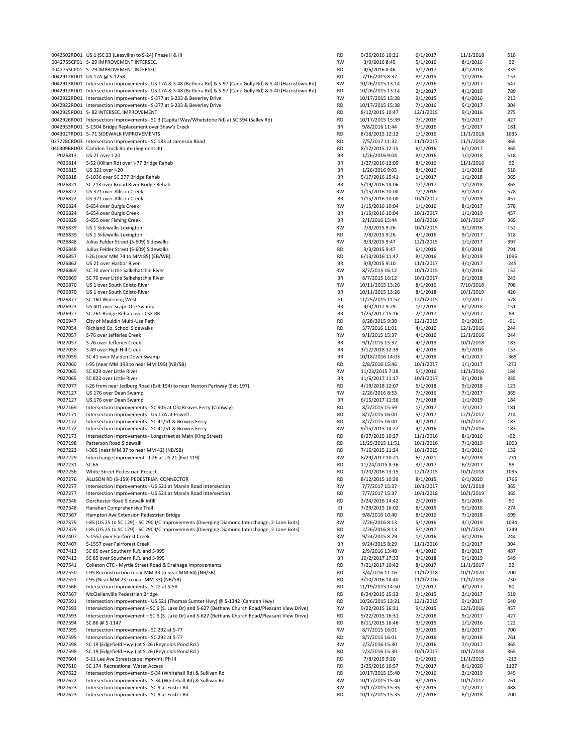|         | 0042502RD01 US 1 (SC 23 (Leesville) to S-24) Phase II & III                                                      | <b>RD</b> | 9/26/2016 16:21  | 6/1/2017  | 11/1/2018 | 518    |
|---------|------------------------------------------------------------------------------------------------------------------|-----------|------------------|-----------|-----------|--------|
|         | 0042755CP01 S-29 IMPROVEMENT INTERSEC.                                                                           | <b>RW</b> | 3/9/2016 8:45    | 5/1/2016  | 8/1/2016  | 92     |
|         | 0042755CP01 S-29 IMPROVEMENT INTERSEC.                                                                           | <b>RD</b> | 4/6/2016 8:46    | 5/1/2017  | 4/1/2018  | 335    |
|         | 0042912RD01 US 17A @ S-1258                                                                                      | <b>RD</b> | 7/16/2015 8:37   | 8/1/2015  | 1/1/2016  | 153    |
|         | 0042913RD01 Intersection Improvements - US 17A & S-48 (Bethera Rd) & S-97 (Cane Gully Rd) & S-40 (Harristown Rd) | <b>RW</b> | 10/26/2015 13:14 | 2/1/2016  | 8/1/2017  | 547    |
|         | 0042913RD01 Intersection Improvements - US 17A & S-48 (Bethera Rd) & S-97 (Cane Gully Rd) & S-40 (Harristown Rd) | <b>RD</b> | 10/26/2015 13:14 | 2/1/2017  | 4/1/2019  | 789    |
|         | 0042922RD01 Intersection Improvements - S-377 at S-233 & Beverley Drive                                          | <b>RW</b> | 10/17/2015 15:38 | 9/1/2015  | 4/1/2016  | 213    |
|         |                                                                                                                  |           |                  |           |           |        |
|         | 0042922RD01 Intersection Improvements - S-377 at S-233 & Beverley Drive                                          | <b>RD</b> | 10/17/2015 15:38 | 7/1/2016  | 5/1/2017  | 304    |
|         | 0042925RD01 S-82 INTERSEC. IMPROVEMENT                                                                           | <b>RD</b> | 8/12/2015 10:47  | 12/1/2015 | 9/1/2016  | 275    |
|         | 0042926RD01 Intersection Improvements - SC 3 (Capital Way/Whetstone Rd) at SC 394 (Salley Rd)                    | <b>RD</b> | 10/17/2015 15:39 | 7/1/2016  | 9/1/2017  | 427    |
|         | 0042933RD01 S-1304 Bridge Replacement over Shaw's Creek                                                          | BR        | 9/8/2016 11:44   | 9/1/2016  | 3/1/2017  | 181    |
|         | 0043027RD01 S-71 SIDEWALK IMPROVEMENTS                                                                           | <b>RD</b> | 8/18/2015 12:12  | 1/1/2016  | 11/1/2018 | 1035   |
|         | 037728CRD03 Intersection Improvements - SC 183 at Jameson Road                                                   | <b>RD</b> | 7/5/2017 11:32   | 11/1/2017 | 11/1/2018 | 365    |
|         | 040309BRD03 Camden Truck Route (Segment III)                                                                     | <b>RD</b> | 8/12/2015 12:15  | 6/1/2016  | 6/1/2017  | 365    |
| P026813 | US 21 over I-20                                                                                                  | BR        | 1/26/2016 9:04   | 8/1/2016  | 1/1/2018  | 518    |
|         |                                                                                                                  |           |                  |           |           |        |
| P026814 | S-52 (Killian Rd) over I-77 Bridge Rehab                                                                         | BR        | 1/27/2016 12:09  | 8/1/2016  | 11/1/2016 | 92     |
| P026815 | US 321 over I-20                                                                                                 | BR        | 1/26/2016 9:05   | 8/1/2016  | 1/1/2018  | 518    |
| P026818 | S-1036 over SC 277 Bridge Rehab                                                                                  | BR        | 5/17/2016 15:41  | 1/1/2017  | 1/1/2018  | 365    |
| P026821 | SC 213 over Broad River Bridge Rehab                                                                             | BR        | 5/19/2016 14:06  | 1/1/2017  | 1/1/2018  | 365    |
| P026822 | US 321 over Allison Creek                                                                                        | <b>RW</b> | 1/15/2016 10:00  | 1/1/2016  | 8/1/2017  | 578    |
| P026822 | US 321 over Allison Creek                                                                                        | BR        | 1/15/2016 10:00  | 10/1/2017 | 1/1/2019  | 457    |
| P026824 | S-654 over Burgis Creek                                                                                          | <b>RW</b> | 1/15/2016 10:04  | 1/1/2016  | 8/1/2017  | 578    |
| P026824 | S-654 over Burgis Creek                                                                                          | BR        | 1/15/2016 10:04  | 10/1/2017 | 1/1/2019  | 457    |
|         |                                                                                                                  |           |                  |           |           |        |
| P026828 | S-655 over Fishing Creek                                                                                         | BR        | 2/1/2016 15:44   | 10/1/2016 | 10/1/2017 | 365    |
| P026839 | US 1 Sidewalks Lexington                                                                                         | RW        | 7/8/2015 9:26    | 10/1/2015 | 3/1/2016  | 152    |
| P026839 | US 1 Sidewalks Lexington                                                                                         | <b>RD</b> | 7/8/2015 9:26    | 4/1/2016  | 9/1/2017  | 518    |
| P026848 | Julius Felder Street (S-609) Sidewalks                                                                           | RW        | 9/3/2015 9:47    | 12/1/2015 | 1/1/2017  | 397    |
| P026848 | Julius Felder Street (S-609) Sidewalks                                                                           | <b>RD</b> | 9/3/2015 9:47    | 6/1/2016  | 8/1/2018  | 791    |
| P026857 | I-26 (near MM 74 to MM 85) (EB/WB)                                                                               | <b>RD</b> | 6/13/2016 11:47  | 8/1/2016  | 8/1/2019  | 1095   |
| P026862 | US 21 over Harbor River                                                                                          | BR        | 9/8/2015 9:10    | 11/1/2017 | 3/1/2017  | $-245$ |
|         |                                                                                                                  |           |                  |           |           |        |
| P026869 | SC 70 over Little Salkehatchie River                                                                             | RW        | 8/7/2015 16:12   | 10/1/2015 | 3/1/2016  | 152    |
| P026869 | SC 70 over Little Salkehatchie River                                                                             | BR        | 8/7/2015 16:12   | 10/1/2017 | 6/1/2018  | 243    |
| P026870 | US 1 over South Edisto River                                                                                     | <b>RW</b> | 10/11/2015 13:26 | 8/1/2016  | 7/10/2018 | 708    |
| P026870 | US 1 over South Edisto River                                                                                     | BR        | 10/11/2015 13:26 | 8/1/2018  | 10/1/2019 | 426    |
| P026877 | SC 160 Widening West                                                                                             | EI        | 11/25/2015 11:52 | 12/1/2015 | 7/1/2017  | 578    |
| P026923 | US 401 over Scape Ore Swamp                                                                                      | BR        | 4/3/2017 9:29    | 1/1/2018  | 6/1/2018  | 151    |
| P026927 | SC 261 Bridge Rehab over CSX RR                                                                                  | BR        | 1/25/2017 15:16  | 2/1/2017  | 5/1/2017  | 89     |
| P026947 |                                                                                                                  | <b>RD</b> |                  |           |           | $-91$  |
|         | City of Mauldin Multi-Use Path                                                                                   |           | 8/28/2015 9:38   | 12/1/2015 | 9/1/2015  |        |
| P027054 | Richland Co. School Sidewalks                                                                                    | <b>RD</b> | 3/7/2016 11:01   | 4/1/2016  | 12/1/2016 | 244    |
| P027057 | S-76 over Jefferies Creek                                                                                        | <b>RW</b> | 9/1/2015 15:37   | 4/1/2016  | 12/1/2016 | 244    |
| P027057 | S-76 over Jefferies Creek                                                                                        | BR        | 9/1/2015 15:37   | 4/1/2018  | 10/1/2018 | 183    |
| P027058 | S-49 over High Hill Creek                                                                                        | BR        | 3/12/2018 12:39  | 4/1/2018  | 9/1/2018  | 153    |
| P027059 | SC 41 over Maiden Down Swamp                                                                                     | BR        | 10/18/2016 14:03 | 4/1/2018  | 4/1/2017  | $-365$ |
| P027060 | I-95 (near MM 193 to near MM 199) (NB/SB)                                                                        | <b>RD</b> | 2/8/2016 15:46   | 10/1/2017 | 1/1/2017  | $-273$ |
| P027065 | SC 823 over Little River                                                                                         | <b>RW</b> | 11/23/2015 7:38  | 5/1/2016  | 11/1/2016 | 184    |
| P027065 |                                                                                                                  | BR        |                  |           |           | 335    |
|         | SC 823 over Little River                                                                                         |           | 11/6/2017 11:17  | 10/1/2017 | 9/1/2018  |        |
| P027077 | I-26 from near Jedburg Road (Exit 194) to near Nexton Parkway (Exit 197)                                         | <b>RD</b> | 4/19/2018 12:07  | 5/1/2018  | 9/1/2018  | 123    |
| P027127 | US 176 over Dean Swamp                                                                                           | RW        | 2/26/2016 8:53   | 7/1/2016  | 7/1/2017  | 365    |
| P027127 | US 176 over Dean Swamp                                                                                           | BR        | 6/15/2017 11:36  | 7/1/2018  | 1/1/2019  | 184    |
| P027169 | Intersection Improvements - SC 905 at Old Reaves Ferry (Conway)                                                  | <b>RD</b> | 8/7/2015 15:59   | 1/1/2017  | 7/1/2017  | 181    |
| P027171 | Intersection Improvements - US 17A at Powell                                                                     | <b>RD</b> | 8/7/2015 16:00   | 5/1/2017  | 12/1/2017 | 214    |
| P027172 | Intersection Improvements - SC 41/51 & Browns Ferry                                                              | <b>RD</b> | 8/7/2015 16:00   | 4/1/2017  | 10/1/2017 | 183    |
| P027172 | Intersection Improvements - SC 41/51 & Browns Ferry                                                              | <b>RW</b> | 9/15/2015 14:22  | 4/1/2016  | 10/1/2016 | 183    |
|         |                                                                                                                  |           |                  |           |           |        |
| P027173 | Intersection Improvements - Longstreet at Main (King Street)                                                     | <b>RD</b> | 8/27/2015 10:27  | 11/1/2016 | 8/1/2016  | $-92$  |
| P027198 | Patterson Road Sidewalk                                                                                          | <b>RD</b> | 11/25/2015 11:51 | 10/1/2016 | 7/1/2019  | 1003   |
| P027223 | I-385 (near MM 37 to near MM 42) (NB/SB)                                                                         | <b>RD</b> | 7/16/2015 11:24  | 10/1/2015 | 3/1/2016  | 152    |
| P027229 | Interchange Improvement - I-26 at US 21 (Exit 119)                                                               | <b>RW</b> | 8/29/2017 10:21  | 6/1/2021  | 6/1/2019  | $-731$ |
| P027231 | SC 65                                                                                                            | <b>RD</b> | 11/24/2015 8:36  | 3/1/2017  | 6/7/2017  | 98     |
| P027256 | White Street Pedestrian Project                                                                                  | <b>RD</b> | 1/20/2016 13:15  | 12/1/2015 | 10/1/2018 | 1035   |
| P027276 | ALLISON RD (S-159) PEDESTRIAN CONNECTOR                                                                          | RD        | 8/12/2015 10:39  | 8/1/2015  | 6/1/2020  | 1766   |
|         |                                                                                                                  |           |                  |           |           |        |
| P027277 | Intersection Improvements - US 521 at Marvin Road Intersection                                                   | <b>RW</b> | 7/7/2017 15:37   | 10/1/2017 | 10/1/2018 | 365    |
| P027277 | Intersection Improvements - US 521 at Marvin Road Intersection                                                   | <b>RD</b> | 7/7/2017 15:37   | 10/1/2018 | 10/1/2019 | 365    |
| P027346 | Dorchester Road Sidewalk Infill                                                                                  | RD        | 2/24/2016 14:42  | 2/1/2016  | 5/1/2016  | 90     |
| P027348 | Hanahan Comprehensive Trail                                                                                      | EI        | 7/29/2015 16:02  | 8/1/2015  | 5/1/2016  | 274    |
| P027367 | Hampton Ave Extension Pedestrian Bridge                                                                          | <b>RD</b> | 9/8/2016 10:40   | 8/1/2016  | 7/1/2018  | 699    |
| P027379 | I-85 (US 25 to SC 129) - SC 290 I/C Improvements (Diverging Diamond Interchange, 2-Lane Exits)                   | RW        | 2/26/2016 8:13   | 5/1/2016  | 3/1/2019  | 1034   |
| P027379 | I-85 (US 25 to SC 129) - SC 290 I/C Improvements (Diverging Diamond Interchange, 2-Lane Exits)                   | <b>RD</b> | 2/26/2016 8:13   | 5/1/2017  | 10/1/2020 | 1249   |
| P027407 | S-1557 over Fairforest Creek                                                                                     | RW        |                  |           |           | 244    |
|         |                                                                                                                  |           | 9/24/2015 8:29   | 1/1/2016  | 9/1/2016  |        |
| P027407 | S-1557 over Fairforest Creek                                                                                     | BR        | 9/24/2015 8:29   | 11/1/2016 | 9/1/2017  | 304    |
| P027413 | SC 85 over Southern R.R. and S-995                                                                               | RW        | 2/9/2016 13:48   | 4/1/2016  | 8/1/2017  | 487    |
| P027413 | SC 85 over Southern R.R. and S-995                                                                               | BR        | 10/2/2017 17:33  | 3/1/2018  | 9/1/2019  | 549    |
| P027541 | Colleton CTC - Myrtle Street Road & Drainage Improvements                                                        | <b>RD</b> | 7/21/2017 10:42  | 8/1/2017  | 11/1/2017 | 92     |
| P027550 | I-95 Reconstruction (near MM 33 to near MM 64) (NB/SB)                                                           | <b>RD</b> | 3/4/2016 11:16   | 11/1/2018 | 10/1/2020 | 700    |
| P027551 | I-95 (Near MM 23 to near MM 33) (NB/SB)                                                                          | <b>RD</b> | 3/10/2016 14:40  | 11/1/2016 | 11/1/2018 | 730    |
| P027566 | Intersection Improvements - S-22 at S-58                                                                         | <b>RD</b> | 11/19/2015 14:50 | 1/1/2017  | 4/1/2017  | 90     |
|         |                                                                                                                  |           |                  |           |           |        |
| P027567 | McClellanville Pedestrian Bridge                                                                                 | <b>RD</b> | 8/24/2015 15:33  | 9/1/2015  | 2/1/2017  | 519    |
| P027591 | Intersection Improvements - US 521 (Thomas Sumter Hwy) @ S-1342 (Camden Hwy)                                     | <b>RD</b> | 10/26/2015 13:21 | 12/1/2015 | 9/1/2017  | 640    |
| P027593 | Intersection Improvement - SC 6 (S. Lake Dr) and S-627 (Bethany Church Road/Pleasant View Drive)                 | <b>RW</b> | 9/22/2015 16:31  | 9/1/2015  | 12/1/2016 | 457    |
| P027593 | Intersection Improvement - SC 6 (S. Lake Dr) and S-627 (Bethany Church Road/Pleasant View Drive)                 | <b>RD</b> | 9/22/2015 16:31  | 7/1/2016  | 9/1/2017  | 427    |
| P027594 | SC 86 @ S-1147                                                                                                   | <b>RD</b> | 8/11/2015 16:46  | 9/1/2015  | 1/1/2016  | 122    |
| P027595 | Intersection Improvements - SC 292 at S-77                                                                       | RW        | 8/7/2015 16:01   | 9/1/2015  | 8/1/2017  | 700    |
| P027595 | Intersection Improvements - SC 292 at S-77                                                                       | <b>RD</b> | 8/7/2015 16:01   | 7/1/2016  | 8/1/2018  | 761    |
|         |                                                                                                                  |           |                  |           |           |        |
| P027598 | SC 19 (Edgefield Hwy.) at S-26 (Reynolds Pond Rd.)                                                               | RW        | 2/3/2016 15:30   | 7/1/2016  | 7/1/2017  | 365    |
| P027598 | SC 19 (Edgefield Hwy.) at S-26 (Reynolds Pond Rd.)                                                               | <b>RD</b> | 2/3/2016 15:30   | 10/1/2017 | 10/1/2018 | 365    |
| P027604 | S-11 Lee Ave Streetscape Imprvmt, Ph III                                                                         | <b>RD</b> | 7/8/2015 9:20    | 6/1/2016  | 11/1/2015 | $-213$ |
| P027610 | SC 174 Recreational Water Access                                                                                 | <b>RD</b> | 2/25/2016 16:57  | 7/1/2017  | 8/1/2020  | 1127   |
| P027622 | Intersection Improvements - S-34 (Whitehall Rd) & Sullivan Rd                                                    | RD        | 10/17/2015 15:40 | 7/1/2016  | 2/1/2019  | 945    |
| P027622 | Intersection Improvements - S-34 (Whitehall Rd) & Sullivan Rd                                                    | <b>RW</b> | 10/17/2015 15:40 | 9/1/2015  | 10/1/2017 | 761    |
| P027623 | Intersection Improvements - SC 9 at Foster Rd                                                                    | <b>RW</b> | 10/17/2015 15:35 | 9/1/2015  | 1/1/2017  | 488    |
| P027623 | Intersection Improvements - SC 9 at Foster Rd                                                                    | <b>RD</b> | 10/17/2015 15:35 | 7/1/2016  |           | 700    |
|         |                                                                                                                  |           |                  |           | 6/1/2018  |        |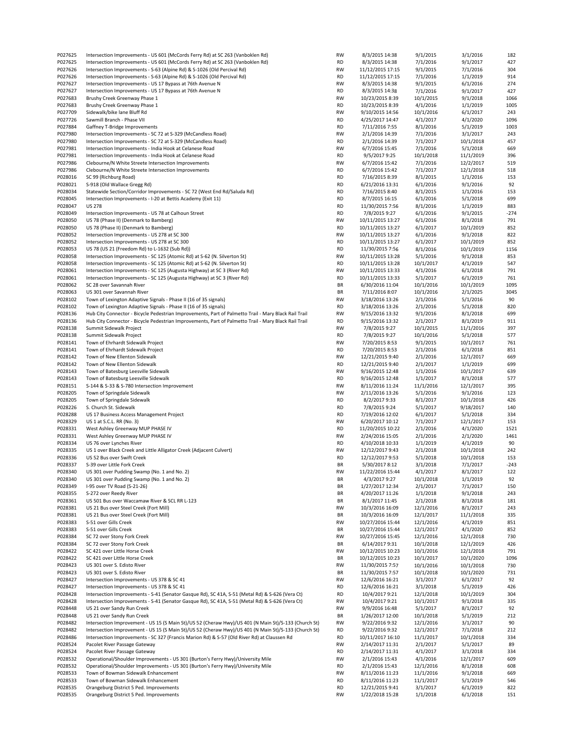| P027625            | Intersection Improvements - US 601 (McCords Ferry Rd) at SC 263 (Vanboklen Rd)                       | RW              | 8/3/2015 14:38                     | 9/1/2015             | 3/1/2016             | 182        |
|--------------------|------------------------------------------------------------------------------------------------------|-----------------|------------------------------------|----------------------|----------------------|------------|
| P027625            | Intersection Improvements - US 601 (McCords Ferry Rd) at SC 263 (Vanboklen Rd)                       | <b>RD</b>       | 8/3/2015 14:38                     | 7/1/2016             | 9/1/2017             | 427        |
| P027626            | Intersection Improvements - S-63 (Alpine Rd) & S-1026 (Old Percival Rd)                              | RW              | 11/12/2015 17:15                   | 9/1/2015             | 7/1/2016             | 304        |
| P027626            | Intersection Improvements - S-63 (Alpine Rd) & S-1026 (Old Percival Rd)                              | <b>RD</b>       | 11/12/2015 17:15                   | 7/1/2016             | 1/1/2019             | 914        |
| P027627            | Intersection Improvements - US 17 Bypass at 76th Avenue N                                            | RW              | 8/3/2015 14:38                     | 9/1/2015             | 6/1/2016             | 274        |
| P027627            | Intersection Improvements - US 17 Bypass at 76th Avenue N                                            | <b>RD</b>       | 8/3/2015 14:38                     | 7/1/2016             | 9/1/2017             | 427        |
| P027683            |                                                                                                      |                 |                                    |                      |                      |            |
|                    | Brushy Creek Greenway Phase 1                                                                        | RW              | 10/23/2015 8:39                    | 10/1/2015            | 9/1/2018             | 1066       |
| P027683            | Brushy Creek Greenway Phase 1                                                                        | <b>RD</b>       | 10/23/2015 8:39                    | 4/1/2016             | 1/1/2019             | 1005       |
| P027709            | Sidewalk/bike lane Bluff Rd                                                                          | RW              | 9/10/2015 14:56                    | 10/1/2016            | 6/1/2017             | 243        |
| P027726            | Sawmill Branch - Phase VII                                                                           | <b>RD</b>       | 4/25/2017 14:47                    | 4/1/2017             | 4/1/2020             | 1096       |
| P027884            | Gaffney T-Bridge Improvements                                                                        | <b>RD</b>       | 7/11/2016 7:55                     | 8/1/2016             | 5/1/2019             | 1003       |
| P027980            | Intersection Improvements - SC 72 at S-329 (McCandless Road)                                         | RW              | 2/1/2016 14:39                     | 7/1/2016             | 3/1/2017             | 243        |
| P027980            | Intersection Improvements - SC 72 at S-329 (McCandless Road)                                         | <b>RD</b>       | 2/1/2016 14:39                     | 7/1/2017             | 10/1/2018            | 457        |
| P027981            | Intersection Improvements - India Hook at Celanese Road                                              | RW              | 6/7/2016 15:45                     | 7/1/2016             | 5/1/2018             | 669        |
| P027981            | Intersection Improvements - India Hook at Celanese Road                                              | <b>RD</b>       | 9/5/2017 9:25                      | 10/1/2018            | 11/1/2019            | 396        |
| P027986            | Clebourne/N White Streete Intersection Improvements                                                  | RW              | 6/7/2016 15:42                     | 7/1/2016             | 12/2/2017            | 519        |
| P027986            | Clebourne/N White Streete Intersection Improvements                                                  | RD              | 6/7/2016 15:42                     | 7/1/2017             | 12/1/2018            | 518        |
| P028016            | SC 99 (Richburg Road)                                                                                | <b>RD</b>       | 7/16/2015 8:39                     | 8/1/2015             | 1/1/2016             | 153        |
| P028021            | S-918 (Old Wallace Gregg Rd)                                                                         | <b>RD</b>       | 6/21/2016 13:31                    | 6/1/2016             | 9/1/2016             | 92         |
| P028034            | Statewide Section/Corridor Improvements - SC 72 (West End Rd/Saluda Rd)                              | <b>RD</b>       | 7/16/2015 8:40                     | 8/1/2015             | 1/1/2016             | 153        |
| P028045            | Intersection Improvements - I-20 at Bettis Academy (Exit 11)                                         | <b>RD</b>       | 8/7/2015 16:15                     | 6/1/2016             | 5/1/2018             | 699        |
| P028047            | <b>US 278</b>                                                                                        | <b>RD</b>       | 11/30/2015 7:56                    | 8/1/2016             | 1/1/2019             | 883        |
| P028049            | Intersection Improvements - US 78 at Calhoun Street                                                  | <b>RD</b>       | 7/8/2015 9:27                      | 6/1/2016             | 9/1/2015             | $-274$     |
| P028050            | US 78 (Phase II) (Denmark to Bamberg)                                                                | RW              | 10/11/2015 13:27                   | 6/1/2016             | 8/1/2018             | 791        |
| P028050            | US 78 (Phase II) (Denmark to Bamberg)                                                                | <b>RD</b>       | 10/11/2015 13:27                   | 6/1/2017             | 10/1/2019            | 852        |
| P028052            | Intersection Improvements - US 278 at SC 300                                                         | RW              | 10/11/2015 13:27                   | 6/1/2016             | 9/1/2018             | 822        |
|                    |                                                                                                      |                 |                                    |                      |                      |            |
| P028052            | Intersection Improvements - US 278 at SC 300<br>US 78 (US 21 (Freedom Rd) to L-1632 (Sub Rd))        | <b>RD</b>       | 10/11/2015 13:27                   | 6/1/2017             | 10/1/2019            | 852        |
| P028053            |                                                                                                      | <b>RD</b>       | 11/30/2015 7:56                    | 8/1/2016             | 10/1/2019            | 1156       |
| P028058            | Intersection Improvements - SC 125 (Atomic Rd) at S-62 (N. Silverton St)                             | RW              | 10/11/2015 13:28                   | 5/1/2016             | 9/1/2018             | 853        |
| P028058            | Intersection Improvements - SC 125 (Atomic Rd) at S-62 (N. Silverton St)                             | <b>RD</b>       | 10/11/2015 13:28                   | 10/1/2017            | 4/1/2019             | 547        |
| P028061            | Intersection Improvements - SC 125 (Augusta Highway) at SC 3 (River Rd)                              | RW              | 10/11/2015 13:33                   | 4/1/2016             | 6/1/2018             | 791        |
| P028061            | Intersection Improvements - SC 125 (Augusta Highway) at SC 3 (River Rd)                              | <b>RD</b>       | 10/11/2015 13:33                   | 5/1/2017             | 6/1/2019             | 761        |
| P028062            | SC 28 over Savannah River                                                                            | BR              | 6/30/2016 11:04                    | 10/1/2016            | 10/1/2019            | 1095       |
| P028063            | US 301 over Savannah River                                                                           | BR              | 7/11/2016 8:07                     | 10/1/2016            | 2/1/2025             | 3045       |
| P028102            | Town of Lexington Adaptive Signals - Phase II (16 of 35 signals)                                     | RW              | 3/18/2016 13:26                    | 2/1/2016             | 5/1/2016             | 90         |
| P028102            | Town of Lexington Adaptive Signals - Phase II (16 of 35 signals)                                     | <b>RD</b>       | 3/18/2016 13:26                    | 2/1/2016             | 5/1/2018             | 820        |
| P028136            | Hub City Connector - Bicycle Pedestrian Improvements, Part of Palmetto Trail - Mary Black Rail Trail | RW              | 9/15/2016 13:32                    | 9/1/2016             | 8/1/2018             | 699        |
| P028136            | Hub City Connector - Bicycle Pedestrian Improvements, Part of Palmetto Trail - Mary Black Rail Trail | <b>RD</b>       | 9/15/2016 13:32                    | 2/1/2017             | 8/1/2019             | 911        |
| P028138            | Summit Sidewalk Project                                                                              | RW              | 7/8/2015 9:27                      | 10/1/2015            | 11/1/2016            | 397        |
| P028138            | Summit Sidewalk Project                                                                              | RD              | 7/8/2015 9:27                      | 10/1/2016            | 5/1/2018             | 577        |
| P028141            | Town of Ehrhardt Sidewalk Project                                                                    | RW              | 7/20/2015 8:53                     | 9/1/2015             | 10/1/2017            | 761        |
| P028141            | Town of Ehrhardt Sidewalk Project                                                                    | <b>RD</b>       | 7/20/2015 8:53                     | 2/1/2016             | 6/1/2018             | 851        |
| P028142            | Town of New Ellenton Sidewalk                                                                        | RW              | 12/21/2015 9:40                    | 2/1/2016             | 12/1/2017            | 669        |
| P028142            | Town of New Ellenton Sidewalk                                                                        | <b>RD</b>       | 12/21/2015 9:40                    | 2/1/2017             | 1/1/2019             | 699        |
| P028143            | Town of Batesburg Leesville Sidewalk                                                                 | RW              | 9/16/2015 12:48                    | 1/1/2016             | 10/1/2017            | 639        |
| P028143            | Town of Batesburg Leesville Sidewalk                                                                 | <b>RD</b>       | 9/16/2015 12:48                    | 1/1/2017             | 8/1/2018             | 577        |
| P028151            | S-144 & S-33 & S-780 Intersection Improvement                                                        | RW              | 8/11/2016 11:24                    | 11/1/2016            | 12/1/2017            | 395        |
| P028205            |                                                                                                      | RW              |                                    |                      |                      | 123        |
|                    | Town of Springdale Sidewalk<br>Town of Springdale Sidewalk                                           | <b>RD</b>       | 2/11/2016 13:26                    | 5/1/2016             | 9/1/2016             | 426        |
| P028205            |                                                                                                      |                 | 8/2/2017 9:33                      | 8/1/2017             | 10/1/2018            |            |
| P028226            | S. Church St. Sidewalk                                                                               | <b>RD</b>       | 7/8/2015 9:24                      | 5/1/2017             | 9/18/2017            | 140        |
| P028288            | US 17 Business Access Management Project                                                             | <b>RD</b>       | 7/19/2016 12:02                    | 6/1/2017             | 5/1/2018             | 334        |
| P028329            | US 1 at S.C.L. RR (No. 3)                                                                            | RW              | 6/20/2017 10:12                    | 7/1/2017             | 12/1/2017            | 153        |
| P028331            | West Ashley Greenway MUP PHASE IV                                                                    | <b>RD</b>       | 11/20/2015 10:22                   | 2/1/2016             | 4/1/2020             | 1521       |
| P028331            | West Ashley Greenway MUP PHASE IV                                                                    | RW              | 2/24/2016 15:05                    | 2/1/2016             | 2/1/2020             | 1461       |
| P028334            | US 76 over Lynches River                                                                             | <b>RD</b>       | 4/10/2018 10:33                    | 1/1/2019             | 4/1/2019             | 90         |
| P028335            | US 1 over Black Creek and Little Alligator Creek (Adjacent Culvert)                                  |                 |                                    | 2/1/2018             |                      | 242        |
| P028336            |                                                                                                      | RW              | 12/12/2017 9:43                    |                      | 10/1/2018            |            |
|                    | US 52 Bus over Swift Creek                                                                           | <b>RD</b>       | 12/12/2017 9:53                    | 5/1/2018             | 10/1/2018            | 153        |
| P028337            | S-39 over Little Fork Creek                                                                          | BR              | 5/30/2017 8:12                     | 3/1/2018             | 7/1/2017             | $-243$     |
| P028340            | US 301 over Pudding Swamp (No. 1 and No. 2)                                                          | RW              | 11/22/2016 15:44                   | 4/1/2017             | 8/1/2017             | 122        |
| P028340            | US 301 over Pudding Swamp (No. 1 and No. 2)                                                          | BR              | 4/3/2017 9:27                      | 10/1/2018            | 1/1/2019             | 92         |
| P028349            | I-95 over TV Road (S-21-26)                                                                          | BR              | 1/27/2017 12:34                    | 2/1/2017             | 7/1/2017             | 150        |
| P028355            | S-272 over Reedy River                                                                               | BR              | 4/20/2017 11:26                    | 1/1/2018             | 9/1/2018             | 243        |
| P028361            | US 501 Bus over Waccamaw River & SCL RR L-123                                                        | BR              | 8/1/2017 11:45                     | 2/1/2018             | 8/1/2018             | 181        |
| P028381            | US 21 Bus over Steel Creek (Fort Mill)                                                               | RW              | 10/3/2016 16:09                    | 12/1/2016            | 8/1/2017             | 243        |
| P028381            | US 21 Bus over Steel Creek (Fort Mill)                                                               | BR              | 10/3/2016 16:09                    | 12/1/2017            | 11/1/2018            | 335        |
| P028383            | S-51 over Gills Creek                                                                                | RW              | 10/27/2016 15:44                   | 12/1/2016            | 4/1/2019             | 851        |
| P028383            | S-51 over Gills Creek                                                                                | BR              | 10/27/2016 15:44                   | 12/1/2017            | 4/1/2020             | 852        |
| P028384            | SC 72 over Stony Fork Creek                                                                          | RW              | 10/27/2016 15:45                   | 12/1/2016            | 12/1/2018            | 730        |
| P028384            | SC 72 over Stony Fork Creek                                                                          | BR              |                                    |                      |                      | 426        |
|                    | SC 421 over Little Horse Creek                                                                       | RW              | 6/14/2017 9:31<br>10/12/2015 10:23 | 10/1/2018            | 12/1/2019            | 791        |
| P028422            |                                                                                                      |                 |                                    | 10/1/2016            | 12/1/2018            |            |
| P028422            | SC 421 over Little Horse Creek                                                                       | BR              | 10/12/2015 10:23                   | 10/1/2017            | 10/1/2020            | 1096       |
| P028423            | US 301 over S. Edisto River                                                                          | RW              | 11/30/2015 7:57                    | 10/1/2016            | 10/1/2018            | 730        |
| P028423            | US 301 over S. Edisto River                                                                          | BR              | 11/30/2015 7:57<br>12/6/2016 16:21 | 10/1/2018            | 10/1/2020            | 731        |
| P028427            | Intersection Improvements - US 378 & SC 41                                                           | RW              |                                    | 3/1/2017             | 6/1/2017             | 92         |
| P028427            | Intersection Improvements - US 378 & SC 41                                                           | RD              | 12/6/2016 16:21                    | 3/1/2018             | 5/1/2019             | 426        |
| P028428            | Intersection Improvements - S-41 (Senator Gasque Rd), SC 41A, S-51 (Metal Rd) & S-626 (Vera Ct)      | RD              | 10/4/2017 9:21                     | 12/1/2018            | 10/1/2019            | 304        |
| P028428            | Intersection Improvements - S-41 (Senator Gasque Rd), SC 41A, S-51 (Metal Rd) & S-626 (Vera Ct)      | RW              | 10/4/2017 9:21                     | 10/1/2017            | 9/1/2018             | 335        |
| P028448            | US 21 over Sandy Run Creek                                                                           | RW              | 9/9/2016 16:48                     | 5/1/2017             | 8/1/2017             | 92         |
| P028448            | US 21 over Sandy Run Creek                                                                           | BR              | 1/26/2017 12:00                    | 10/1/2018            | 5/1/2019             | 212        |
| P028482            | Intersection Improvement - US 15 (S Main St)/US 52 (Cheraw Hwy)/US 401 (N Main St)/S-133 (Church St) | RW              | 9/22/2016 9:32                     | 12/1/2016            | 3/1/2017             | 90         |
| P028482            | Intersection Improvement - US 15 (S Main St)/US 52 (Cheraw Hwy)/US 401 (N Main St)/S-133 (Church St) | <b>RD</b>       | 9/22/2016 9:32                     | 12/1/2017            | 7/1/2018             | 212        |
| P028486            | Intersection Improvements - SC 327 (Francis Marion Rd) & S-57 (Old River Rd) at Claussen Rd          | <b>RD</b>       | 10/11/2017 16:10                   | 11/1/2017            | 10/1/2018            | 334        |
| P028524            | Pacolet River Passage Gateway                                                                        | RW              | 2/14/2017 11:31                    | 2/1/2017             | 5/1/2017             | 89         |
| P028524            | Pacolet River Passage Gateway                                                                        | RD              | 2/14/2017 11:31                    | 4/1/2017             | 3/1/2018             | 334        |
| P028532            | Operational/Shoulder Improvements - US 301 (Burton's Ferry Hwy)/University Mile                      | RW              | 2/1/2016 15:43                     | 4/1/2016             | 12/1/2017            | 609        |
| P028532            | Operational/Shoulder Improvements - US 301 (Burton's Ferry Hwy)/University Mile                      | RD              | 2/1/2016 15:43                     | 12/1/2016            | 8/1/2018             | 608        |
| P028533            | Town of Bowman Sidewalk Enhancement                                                                  | RW              | 8/11/2016 11:23                    | 11/1/2016            | 9/1/2018             | 669        |
| P028533            | Town of Bowman Sidewalk Enhancement                                                                  | RD              | 8/11/2016 11:23                    | 11/1/2017            | 5/1/2019             | 546        |
| P028535<br>P028535 | Orangeburg District 5 Ped. Improvements<br>Orangeburg District 5 Ped. Improvements                   | <b>RD</b><br>RW | 12/21/2015 9:41<br>1/22/2018 15:28 | 3/1/2017<br>1/1/2018 | 6/1/2019<br>6/1/2018 | 822<br>151 |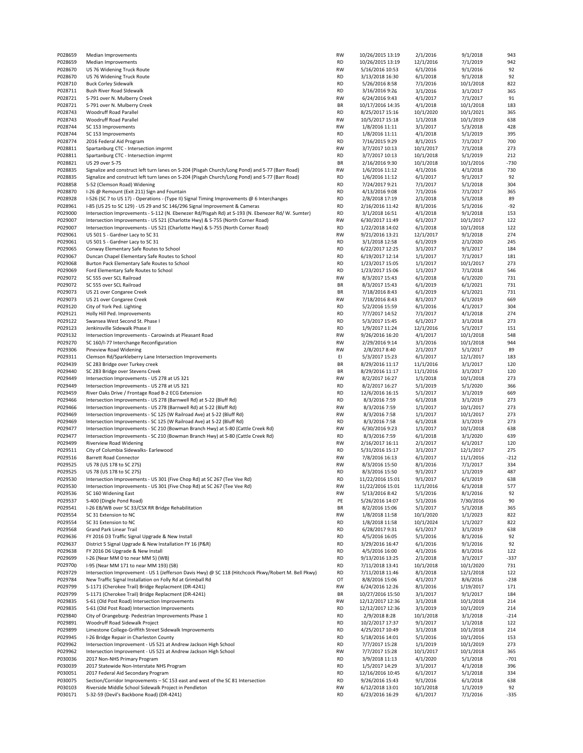| P028659            | Median Improvements                                                                                                       | <b>RW</b>       | 10/26/2015 13:19                   | 2/1/2016              | 9/1/2018              | 943           |
|--------------------|---------------------------------------------------------------------------------------------------------------------------|-----------------|------------------------------------|-----------------------|-----------------------|---------------|
| P028659            | Median Improvements                                                                                                       | <b>RD</b>       | 10/26/2015 13:19                   | 12/1/2016             | 7/1/2019              | 942           |
| P028670            | US 76 Widening Truck Route                                                                                                | RW              | 5/16/2016 10:53                    | 6/1/2016              | 9/1/2016              | 92            |
| P028670            | US 76 Widening Truck Route                                                                                                | RD              | 3/13/2018 16:30                    | 6/1/2018              | 9/1/2018              | 92            |
| P028710            | <b>Buck Corley Sidewalk</b>                                                                                               | RD              | 5/26/2016 8:58                     | 7/1/2016              | 10/1/2018             | 822           |
| P028711            | Bush River Road SIdewalk                                                                                                  | RD              | 3/16/2016 9:26                     | 3/1/2016              | 3/1/2017              | 365           |
| P028721            | S-791 over N. Mulberry Creek                                                                                              | <b>RW</b>       | 6/24/2016 9:43                     | 4/1/2017              | 7/1/2017              | 91            |
| P028721            | S-791 over N. Mulberry Creek<br><b>Woodruff Road Parallel</b>                                                             | BR              | 10/17/2016 14:35                   | 4/1/2018              | 10/1/2018             | 183           |
| P028743<br>P028743 | Woodruff Road Parallel                                                                                                    | <b>RD</b><br>RW | 8/25/2017 15:16                    | 10/1/2020             | 10/1/2021             | 365<br>638    |
| P028744            | SC 153 Improvements                                                                                                       | <b>RW</b>       | 10/5/2017 15:18<br>1/8/2016 11:11  | 1/1/2018<br>3/1/2017  | 10/1/2019<br>5/3/2018 | 428           |
| P028744            | SC 153 Improvements                                                                                                       | <b>RD</b>       | 1/8/2016 11:11                     | 4/1/2018              | 5/1/2019              | 395           |
| P028774            | 2016 Federal Aid Program                                                                                                  | <b>RD</b>       | 7/16/2015 9:29                     | 8/1/2015              | 7/1/2017              | 700           |
| P028811            | Spartanburg CTC - Intersection imprmt                                                                                     | RW              | 3/7/2017 10:13                     | 10/1/2017             | 7/1/2018              | 273           |
| P028811            | Spartanburg CTC - Intersection imprmt                                                                                     | RD              | 3/7/2017 10:13                     | 10/1/2018             | 5/1/2019              | 212           |
| P028821            | US 29 over S-75                                                                                                           | BR              | 2/16/2016 9:30                     | 10/1/2018             | 10/1/2016             | $-730$        |
| P028835            | Signalize and construct left turn lanes on S-204 (Pisgah Church/Long Pond) and S-77 (Barr Road)                           | RW              | 1/6/2016 11:12                     | 4/1/2016              | 4/1/2018              | 730           |
| P028835            | Signalize and construct left turn lanes on S-204 (Pisgah Church/Long Pond) and S-77 (Barr Road)                           | <b>RD</b>       | 1/6/2016 11:12                     | 6/1/2017              | 9/1/2017              | 92            |
| P028858            | S-52 (Clemson Road) Widening                                                                                              | RD              | 7/24/2017 9:21                     | 7/1/2017              | 5/1/2018              | 304           |
| P028870            | I-26 @ Remount (Exit 211) Sign and Fountain                                                                               | <b>RD</b>       | 4/13/2016 9:08                     | 7/1/2016              | 7/1/2017              | 365           |
| P028928            | I-526 (SC 7 to US 17) - Operations - (Type II) Signal Timing Improvements @ 6 Interchanges                                | <b>RD</b>       | 2/8/2018 17:19                     | 2/1/2018              | 5/1/2018              | 89            |
| P028961            | I-85 (US 25 to SC 129) - US 29 and SC 146/296 Signal Improvement & Cameras                                                | RD              | 2/16/2016 11:42                    | 8/1/2016              | 5/1/2016              | $-92$         |
| P029000            | Intersection Improvements - S-112 (N. Ebenezer Rd/Pisgah Rd) at S-193 (N. Ebenezer Rd/ W. Sumter)                         | RD              | 3/1/2018 16:51                     | 4/1/2018              | 9/1/2018              | 153           |
| P029007            | Intersection Improvements - US 521 (Charlotte Hwy) & S-755 (North Corner Road)                                            | RW              | 6/30/2017 11:49                    | 6/1/2017              | 10/1/2017             | 122           |
| P029007            | Intersection Improvements - US 521 (Charlotte Hwy) & S-755 (North Corner Road)                                            | RD              | 1/22/2018 14:02                    | 6/1/2018              | 10/1/2018             | 122           |
| P029061            | US 501 S - Gardner Lacy to SC 31                                                                                          | <b>RW</b>       | 9/21/2016 13:21                    | 12/1/2017             | 9/1/2018              | 274           |
| P029061            | US 501 S - Gardner Lacy to SC 31                                                                                          | RD              | 3/1/2018 12:58                     | 6/1/2019              | 2/1/2020              | 245           |
| P029065            | Conway Elementary Safe Routes to School                                                                                   | RD              | 6/22/2017 12:25                    | 3/1/2017              | 9/1/2017              | 184           |
| P029067            | Duncan Chapel Elementary Safe Routes to School                                                                            | RD              | 6/19/2017 12:14                    | 1/1/2017<br>1/1/2017  | 7/1/2017<br>10/1/2017 | 181<br>273    |
| P029068<br>P029069 | Burton Pack Elementary Safe Routes to School<br>Ford Elementary Safe Routes to School                                     | RD<br>RD        | 1/23/2017 15:05<br>1/23/2017 15:06 | 1/1/2017              | 7/1/2018              | 546           |
| P029072            | SC 555 over SCL Railroad                                                                                                  | RW              | 8/3/2017 15:43                     | 6/1/2018              | 6/1/2020              | 731           |
| P029072            | SC 555 over SCL Railroad                                                                                                  | BR              | 8/3/2017 15:43                     | 6/1/2019              | 6/1/2021              | 731           |
| P029073            | US 21 over Congaree Creek                                                                                                 | BR              | 7/18/2016 8:43                     | 6/1/2019              | 6/1/2021              | 731           |
| P029073            | US 21 over Congaree Creek                                                                                                 | <b>RW</b>       | 7/18/2016 8:43                     | 8/1/2017              | 6/1/2019              | 669           |
| P029120            | City of York Ped. Lighting                                                                                                | <b>RD</b>       | 5/2/2016 15:59                     | 6/1/2016              | 4/1/2017              | 304           |
| P029121            | Holly Hill Ped. Improvements                                                                                              | <b>RD</b>       | 7/7/2017 14:52                     | 7/1/2017              | 4/1/2018              | 274           |
| P029122            | Swansea West Second St. Phase I                                                                                           | RD              | 5/3/2017 15:45                     | 6/1/2017              | 3/1/2018              | 273           |
| P029123            | Jenkinsville Sidewalk Phase II                                                                                            | <b>RD</b>       | 1/9/2017 11:24                     | 12/1/2016             | 5/1/2017              | 151           |
| P029132            | Intersection Improvements - Carowinds at Pleasant Road                                                                    | RW              | 9/26/2016 16:20                    | 4/1/2017              | 10/1/2018             | 548           |
| P029270            | SC 160/I-77 Interchange Reconfiguration                                                                                   | RW              | 2/29/2016 9:14                     | 3/1/2016              | 10/1/2018             | 944           |
| P029306            | Pineview Road Widening                                                                                                    | RW              | 2/8/2017 8:40                      | 2/1/2017              | 5/1/2017              | 89            |
| P029311            | Clemson Rd/Sparkleberry Lane Intersection Improvements                                                                    | EI              | 5/3/2017 15:23                     | 6/1/2017              | 12/1/2017             | 183           |
| P029439            | SC 283 Bridge over Turkey creek                                                                                           | BR              | 8/29/2016 11:17                    | 11/1/2016             | 3/1/2017              | 120           |
| P029440            | SC 283 Bridge over Stevens Creek                                                                                          | BR              | 8/29/2016 11:17                    | 11/1/2016             | 3/1/2017              | 120           |
| P029449            | Intersection Improvements - US 278 at US 321                                                                              | RW              | 8/2/2017 16:27                     | 1/1/2018              | 10/1/2018             | 273           |
| P029449            | Intersection Improvements - US 278 at US 321                                                                              | <b>RD</b>       | 8/2/2017 16:27                     | 5/1/2019              | 5/1/2020              | 366           |
| P029459<br>P029466 | River Oaks Drive / Frontage Road B-2 ECG Extension<br>Intersection Improvements - US 278 (Barnwell Rd) at S-22 (Bluff Rd) | <b>RD</b><br>RD | 12/6/2016 16:15                    | 5/1/2017<br>6/1/2018  | 3/1/2019<br>3/1/2019  | 669<br>273    |
| P029466            | Intersection Improvements - US 278 (Barnwell Rd) at S-22 (Bluff Rd)                                                       | RW              | 8/3/2016 7:59<br>8/3/2016 7:59     | 1/1/2017              | 10/1/2017             | 273           |
| P029469            | Intersection Improvements - SC 125 (W Railroad Ave) at S-22 (Bluff Rd)                                                    | RW              | 8/3/2016 7:58                      | 1/1/2017              | 10/1/2017             | 273           |
| P029469            | Intersection Improvements - SC 125 (W Railroad Ave) at S-22 (Bluff Rd)                                                    | RD              | 8/3/2016 7:58                      | 6/1/2018              | 3/1/2019              | 273           |
| P029477            | Intersection Improvements - SC 210 (Bowman Branch Hwy) at S-80 (Cattle Creek Rd)                                          | RW              | 6/30/2016 9:23                     | 1/1/2017              | 10/1/2018             | 638           |
| P029477            | Intersection Improvements - SC 210 (Bowman Branch Hwy) at S-80 (Cattle Creek Rd)                                          | RD              | 8/3/2016 7:59                      | 6/1/2018              | 3/1/2020              | 639           |
| P029499            | <b>Riverview Road Widening</b>                                                                                            | RW              | 2/16/2017 16:11                    | 2/1/2017              | 6/1/2017              | 120           |
| P029511            | City of Columbia Sidewalks- Earlewood                                                                                     | RD              | 5/31/2016 15:17                    | 3/1/2017              | 12/1/2017             | 275           |
| P029516            | <b>Barrett Road Connector</b>                                                                                             | <b>RW</b>       | 7/8/2016 16:13                     | 6/1/2017              | 11/1/2016             | $-212$        |
| P029525            | US 78 (US 178 to SC 27S)                                                                                                  | <b>RW</b>       | 8/3/2016 15:50                     | 8/1/2016              | 7/1/2017              | 334           |
| P029525            | US 78 (US 178 to SC 27S)                                                                                                  | <b>RD</b>       | 8/3/2016 15:50                     | 9/1/2017              | 1/1/2019              | 487           |
| P029530            | Intersection Improvements - US 301 (Five Chop Rd) at SC 267 (Tee Vee Rd)                                                  | RD              | 11/22/2016 15:01                   | 9/1/2017              | 6/1/2019              | 638           |
| P029530            | Intersection Improvements - US 301 (Five Chop Rd) at SC 267 (Tee Vee Rd)                                                  | RW              | 11/22/2016 15:01                   | 11/1/2016             | 6/1/2018              | 577           |
| P029536            | SC 160 Widening East                                                                                                      | RW              | 5/13/2016 8:42                     | 5/1/2016              | 8/1/2016              | 92            |
| P029537            | S-400 (Dingle Pond Road)                                                                                                  | PE              | 5/26/2016 14:07                    | 5/1/2016              | 7/30/2016             | 90            |
| P029541            | I-26 EB/WB over SC 33/CSX RR Bridge Rehabilitation                                                                        | ΒR              | 8/2/2016 15:06                     | 5/1/2017              | 5/1/2018              | 365           |
| P029554            | SC 31 Extension to NC                                                                                                     | RW              | 1/8/2018 11:58                     | 10/1/2020             | 1/1/2023              | 822           |
| P029554<br>P029568 | SC 31 Extension to NC<br>Grand Park Linear Trail                                                                          | RD<br>RD        | 1/8/2018 11:58<br>6/28/2017 9:31   | 10/1/2024<br>6/1/2017 | 1/1/2027<br>3/1/2019  | 822<br>638    |
| P029636            | FY 2016 D3 Traffic Signal Upgrade & New Install                                                                           | <b>RD</b>       | 4/5/2016 16:05                     | 5/1/2016              | 8/1/2016              | 92            |
| P029637            | District 5 Signal Upgrade & New Installation FY 16 (P&R)                                                                  | RD              | 3/29/2016 16:47                    | 6/1/2016              | 9/1/2016              | 92            |
| P029638            | FY 2016 D6 Upgrade & New Install                                                                                          | <b>RD</b>       | 4/5/2016 16:00                     | 4/1/2016              | 8/1/2016              | 122           |
| P029699            | I-26 (Near MM 0 to near MM 5) (WB)                                                                                        | <b>RD</b>       | 9/13/2016 13:25                    | 2/1/2018              | 3/1/2017              | $-337$        |
| P029700            | I-95 (Near MM 171 to near MM 193) (SB)                                                                                    | <b>RD</b>       | 7/11/2018 13:41                    | 10/1/2018             | 10/1/2020             | 731           |
| P029729            | Intersection Improvement - US 1 (Jefferson Davis Hwy) @ SC 118 (Hitchcock Pkwy/Robert M. Bell Pkwy)                       | RD              | 7/11/2018 11:46                    | 8/1/2018              | 12/1/2018             | 122           |
| P029784            | New Traffic Signal Installation on Folly Rd at Grimball Rd                                                                | ОT              | 8/8/2016 15:06                     | 4/1/2017              | 8/6/2016              | $-238$        |
| P029799            | S-1171 (Cherokee Trail) Bridge Replacment (DR-4241)                                                                       | RW              | 6/24/2016 12:26                    | 8/1/2016              | 1/19/2017             | 171           |
| P029799            | S-1171 (Cherokee Trail) Bridge Replacment (DR-4241)                                                                       | BR              | 10/27/2016 15:50                   | 3/1/2017              | 9/1/2017              | 184           |
| P029835            | S-61 (Old Post Road) Intersection Improvements                                                                            | RW              | 12/12/2017 12:36                   | 3/1/2018              | 10/1/2018             | 214           |
| P029835            | S-61 (Old Post Road) Intersection Improvements                                                                            | RD              | 12/12/2017 12:36                   | 3/1/2019              | 10/1/2019             | 214           |
| P029840            | City of Orangeburg- Pedestrian Improvements Phase 1                                                                       | RD              | 2/9/2018 8:28                      | 10/1/2018             | 3/1/2018              | $-214$        |
| P029891            | Woodruff Road Sidewalk Project                                                                                            | RD              | 10/2/2017 17:37                    | 9/1/2017              | 1/1/2018              | 122           |
| P029899            | Limestone College-Griffith Street Sidewalk Improvements                                                                   | RD              | 4/25/2017 10:49                    | 3/1/2018              | 10/1/2018             | 214           |
| P029945            | I-26 Bridge Repair in Charleston County                                                                                   | RD              | 5/18/2016 14:01                    | 5/1/2016              | 10/1/2016             | 153           |
| P029962            | Intersection Improvement - US 521 at Andrew Jackson High School                                                           | <b>RD</b>       | 7/7/2017 15:28                     | 1/1/2019              | 10/1/2019             | 273           |
| P029962<br>P030036 | Intersection Improvement - US 521 at Andrew Jackson High School<br>2017 Non-NHS Primary Program                           | RW<br><b>RD</b> | 7/7/2017 15:28<br>3/9/2018 11:13   | 10/1/2017<br>4/1/2020 | 10/1/2018<br>5/1/2018 | 365<br>$-701$ |
| P030039            | 2017 Statewide Non-Interstate NHS Program                                                                                 | RD              | 1/5/2017 14:29                     | 3/1/2017              | 4/1/2018              | 396           |
| P030051            | 2017 Federal Aid Secondary Program                                                                                        | RD              | 12/16/2016 10:45                   | 6/1/2017              | 5/1/2018              | 334           |
| P030075            | Section/Corridor Improvements - SC 153 east and west of the SC 81 Intersection                                            | RD              | 9/26/2016 15:43                    | 9/1/2016              | 6/1/2018              | 638           |
| P030103            | Riverside Middle School Sidewalk Project in Pendleton                                                                     | RW              | 6/12/2018 13:01                    | 10/1/2018             | 1/1/2019              | 92            |
| P030171            | S-32-59 (Devil's Backbone Road) (DR-4241)                                                                                 | RD              | 6/23/2016 16:29                    | 6/1/2017              | 7/1/2016              | $-335$        |
|                    |                                                                                                                           |                 |                                    |                       |                       |               |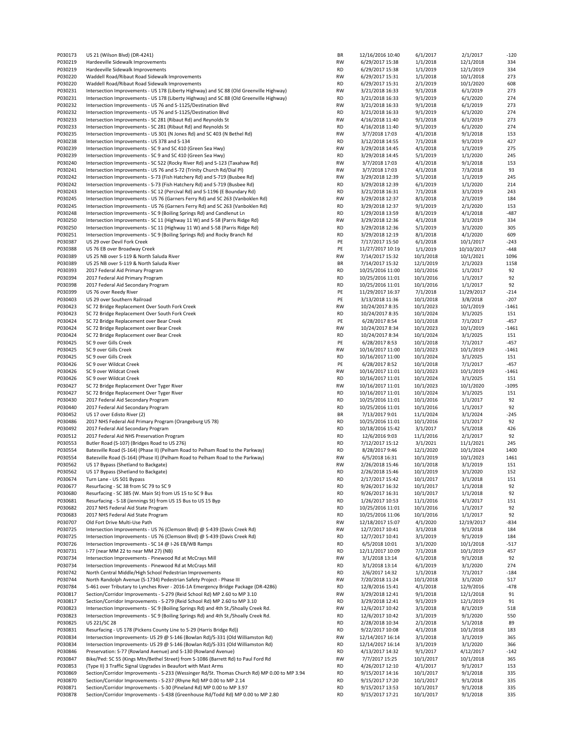| P030173            | US 21 (Wilson Blvd) (DR-4241)                                                                                                                            | BR                     | 12/16/2016 10:40                   | 6/1/2017               | 2/1/2017              | $-120$        |
|--------------------|----------------------------------------------------------------------------------------------------------------------------------------------------------|------------------------|------------------------------------|------------------------|-----------------------|---------------|
| P030219            | Hardeeville Sidewalk Improvements                                                                                                                        | <b>RW</b>              | 6/29/2017 15:38                    | 1/1/2018               | 12/1/2018             | 334           |
| P030219            | Hardeeville Sidewalk Improvements                                                                                                                        | <b>RD</b>              | 6/29/2017 15:38                    | 1/1/2019               | 12/1/2019             | 334           |
| P030220            | Waddell Road/Ribaut Road Sidewalk Improvements                                                                                                           | <b>RW</b>              | 6/29/2017 15:31                    | 1/1/2018               | 10/1/2018             | 273           |
| P030220            | Waddell Road/Ribaut Road Sidewalk Improvements                                                                                                           | <b>RD</b>              | 6/29/2017 15:31                    | 2/1/2019               | 10/1/2020             | 608           |
| P030231            | Intersection Improvements - US 178 (Liberty Highway) and SC 88 (Old Greenville Highway)                                                                  | RW                     | 3/21/2018 16:33                    | 9/1/2018               | 6/1/2019              | 273           |
| P030231<br>P030232 | Intersection Improvements - US 178 (Liberty Highway) and SC 88 (Old Greenville Highway)<br>Intersection Improvements - US 76 and S-1125/Destination Blvd | <b>RD</b><br><b>RW</b> | 3/21/2018 16:33                    | 9/1/2019               | 6/1/2020              | 274<br>273    |
| P030232            | Intersection Improvements - US 76 and S-1125/Destination Blvd                                                                                            | <b>RD</b>              | 3/21/2018 16:33<br>3/21/2018 16:33 | 9/1/2018<br>9/1/2019   | 6/1/2019<br>6/1/2020  | 274           |
| P030233            | Intersection Improvements - SC 281 (Ribaut Rd) and Reynolds St                                                                                           | <b>RW</b>              | 4/16/2018 11:40                    | 9/1/2018               | 6/1/2019              | 273           |
| P030233            | Intersection Improvements - SC 281 (Ribaut Rd) and Reynolds St                                                                                           | <b>RD</b>              | 4/16/2018 11:40                    | 9/1/2019               | 6/1/2020              | 274           |
| P030235            | Intersection Improvements - US 301 (N Jones Rd) and SC 403 (N Bethel Rd)                                                                                 | <b>RW</b>              | 3/7/2018 17:03                     | 4/1/2018               | 9/1/2018              | 153           |
| P030238            | Intersection Improvements - US 378 and S-134                                                                                                             | <b>RD</b>              | 3/12/2018 14:55                    | 7/1/2018               | 9/1/2019              | 427           |
| P030239            | Intersection Improvements - SC 9 and SC 410 (Green Sea Hwy)                                                                                              | <b>RW</b>              | 3/29/2018 14:45                    | 4/1/2018               | 1/1/2019              | 275           |
| P030239            | Intersection Improvements - SC 9 and SC 410 (Green Sea Hwy)                                                                                              | <b>RD</b>              | 3/29/2018 14:45                    | 5/1/2019               | 1/1/2020              | 245           |
| P030240            | Intersection Improvements - SC 522 (Rocky River Rd) and S-123 (Taxahaw Rd)                                                                               | <b>RW</b>              | 3/7/2018 17:03                     | 4/1/2018               | 9/1/2018              | 153           |
| P030241            | Intersection Improvements - US 76 and S-72 (Trinity Church Rd/Dial PI)                                                                                   | RW                     | 3/7/2018 17:03                     | 4/1/2018               | 7/3/2018              | 93            |
| P030242            | Intersection Improvements - S-73 (Fish Hatchery Rd) and S-719 (Busbee Rd)                                                                                | RW                     | 3/29/2018 12:39                    | 5/1/2018               | 1/1/2019              | 245           |
| P030242            | Intersection Improvements - S-73 (Fish Hatchery Rd) and S-719 (Busbee Rd)                                                                                | <b>RD</b>              | 3/29/2018 12:39                    | 6/1/2019               | 1/1/2020              | 214           |
| P030243            | Intersection Improvements - SC 12 (Percival Rd) and S-1196 (E Boundary Rd)                                                                               | <b>RD</b>              | 3/21/2018 16:31                    | 7/1/2018               | 3/1/2019              | 243           |
| P030245            | Intersection Improvements - US 76 (Garners Ferry Rd) and SC 263 (Vanboklen Rd)                                                                           | <b>RW</b>              | 3/29/2018 12:37                    | 8/1/2018               | 2/1/2019              | 184           |
| P030245            | Intersection Improvements - US 76 (Garners Ferry Rd) and SC 263 (Vanboklen Rd)                                                                           | <b>RD</b>              | 3/29/2018 12:37                    | 9/1/2019               | 2/1/2020              | 153           |
| P030248            | Intersection Improvements - SC 9 (Boiling Springs Rd) and Candlenut Ln                                                                                   | <b>RD</b>              | 1/29/2018 13:59                    | 8/1/2019               | 4/1/2018              | $-487$        |
| P030250            | Intersection Improvements - SC 11 (Highway 11 W) and S-58 (Parris Ridge Rd)                                                                              | <b>RW</b>              | 3/29/2018 12:36                    | 4/1/2018               | 3/1/2019              | 334           |
| P030250            | Intersection Improvements - SC 11 (Highway 11 W) and S-58 (Parris Ridge Rd)                                                                              | <b>RD</b>              | 3/29/2018 12:36                    | 5/1/2019               | 3/1/2020              | 305           |
| P030251            | Intersection Improvements - SC 9 (Boiling Springs Rd) and Rocky Branch Rd                                                                                | <b>RD</b>              | 3/29/2018 12:19                    | 8/1/2018               | 4/1/2020              | 609           |
| P030387            | US 29 over Devil Fork Creek                                                                                                                              | PE                     | 7/17/2017 15:50                    | 6/1/2018               | 10/1/2017             | $-243$        |
| P030388            | US 76 EB over Broadway Creek                                                                                                                             | PE                     | 11/27/2017 10:19                   | 1/1/2019               | 10/10/2017            | $-448$        |
| P030389            | US 25 NB over S-119 & North Saluda River                                                                                                                 | <b>RW</b>              | 7/14/2017 15:32                    | 10/1/2018              | 10/1/2021             | 1096          |
| P030389            | US 25 NB over S-119 & North Saluda River                                                                                                                 | ΒR                     | 7/14/2017 15:32                    | 12/1/2019              | 2/1/2023              | 1158          |
| P030393            | 2017 Federal Aid Primary Program                                                                                                                         | <b>RD</b>              | 10/25/2016 11:00                   | 10/1/2016              | 1/1/2017              | 92            |
| P030394            | 2017 Federal Aid Primary Program                                                                                                                         | <b>RD</b>              | 10/25/2016 11:01                   | 10/1/2016              | 1/1/2017              | 92            |
| P030398            | 2017 Federal Aid Secondary Program                                                                                                                       | <b>RD</b>              | 10/25/2016 11:01                   | 10/1/2016              | 1/1/2017              | 92            |
| P030399            | US 76 over Reedy River                                                                                                                                   | PE                     | 11/29/2017 16:37                   | 7/1/2018               | 11/29/2017            | $-214$        |
| P030403            | US 29 over Southern Railroad                                                                                                                             | PE                     | 3/13/2018 11:36                    | 10/1/2018              | 3/8/2018              | $-207$        |
| P030423            | SC 72 Bridge Replacement Over South Fork Creek                                                                                                           | <b>RW</b>              | 10/24/2017 8:35                    | 10/1/2023              | 10/1/2019             | $-1461$       |
| P030423            | SC 72 Bridge Replacement Over South Fork Creek                                                                                                           | <b>RD</b>              | 10/24/2017 8:35                    | 10/1/2024              | 3/1/2025              | 151           |
| P030424            | SC 72 Bridge Replacement over Bear Creek                                                                                                                 | PE                     | 6/28/2017 8:54                     | 10/1/2018              | 7/1/2017              | $-457$        |
| P030424            | SC 72 Bridge Replacement over Bear Creek                                                                                                                 | <b>RW</b>              | 10/24/2017 8:34                    | 10/1/2023              | 10/1/2019             | $-1461$       |
| P030424            | SC 72 Bridge Replacement over Bear Creek                                                                                                                 | <b>RD</b>              | 10/24/2017 8:34                    | 10/1/2024              | 3/1/2025              | 151           |
| P030425            | SC 9 over Gills Creek                                                                                                                                    | PE                     | 6/28/2017 8:53                     | 10/1/2018              | 7/1/2017              | $-457$        |
| P030425            | SC 9 over Gills Creek                                                                                                                                    | RW                     | 10/16/2017 11:00                   | 10/1/2023              | 10/1/2019             | $-1461$       |
| P030425            | SC 9 over Gills Creek                                                                                                                                    | <b>RD</b>              | 10/16/2017 11:00                   | 10/1/2024              | 3/1/2025              | 151           |
| P030426            | SC 9 over Wildcat Creek                                                                                                                                  | PE                     | 6/28/2017 8:52                     | 10/1/2018              | 7/1/2017              | $-457$        |
| P030426            | SC 9 over Wildcat Creek                                                                                                                                  | <b>RW</b>              | 10/16/2017 11:01                   | 10/1/2023              | 10/1/2019             | $-1461$       |
| P030426            | SC 9 over Wildcat Creek                                                                                                                                  | <b>RD</b>              | 10/16/2017 11:01                   | 10/1/2024              | 3/1/2025              | 151           |
| P030427            | SC 72 Bridge Replacement Over Tyger River                                                                                                                | <b>RW</b>              | 10/16/2017 11:01                   | 10/1/2023              | 10/1/2020             | $-1095$       |
| P030427            | SC 72 Bridge Replacement Over Tyger River                                                                                                                | <b>RD</b>              | 10/16/2017 11:01                   | 10/1/2024              | 3/1/2025              | 151           |
| P030430            | 2017 Federal Aid Secondary Program                                                                                                                       | <b>RD</b>              | 10/25/2016 11:01                   | 10/1/2016              | 1/1/2017              | 92            |
| P030440<br>P030452 | 2017 Federal Aid Secondary Program<br>US 17 over Edisto River (2)                                                                                        | RD<br>BR               | 10/25/2016 11:01                   | 10/1/2016<br>11/1/2024 | 1/1/2017              | 92<br>$-245$  |
| P030486            | 2017 NHS Federal Aid Primary Program (Orangeburg US 78)                                                                                                  | <b>RD</b>              | 7/13/2017 9:01<br>10/25/2016 11:01 | 10/1/2016              | 3/1/2024<br>1/1/2017  | 92            |
| P030492            | 2017 Federal Aid Secondary Program                                                                                                                       | <b>RD</b>              | 10/18/2016 15:42                   | 3/1/2017               | 5/1/2018              | 426           |
| P030512            | 2017 Federal Aid NHS Preservation Program                                                                                                                | <b>RD</b>              | 12/6/2016 9:03                     | 11/1/2016              | 2/1/2017              | 92            |
| P030553            | Butler Road (S-107) (Bridges Road to US 276)                                                                                                             | <b>RD</b>              | 7/12/2017 15:12                    | 3/1/2021               | 11/1/2021             | 245           |
| P030554            | Batesville Road (S-164) (Phase II) (Pelham Road to Pelham Road to the Parkway)                                                                           | <b>RD</b>              | 8/28/2017 9:46                     | 12/1/2020              | 10/1/2024             | 1400          |
| P030554            | Batesville Road (S-164) (Phase II) (Pelham Road to Pelham Road to the Parkway)                                                                           | <b>RW</b>              | 6/5/2018 16:31                     | 10/1/2019              | 10/1/2023             | 1461          |
| P030562            | US 17 Bypass (Shetland to Backgate)                                                                                                                      | <b>RW</b>              | 2/26/2018 15:46                    | 10/1/2018              | 3/1/2019              | 151           |
| P030562            | US 17 Bypass (Shetland to Backgate)                                                                                                                      | <b>RD</b>              | 2/26/2018 15:46                    | 10/1/2019              | 3/1/2020              | 152           |
| P030674            | Turn Lane - US 501 Bypass                                                                                                                                | <b>RD</b>              | 2/17/2017 15:42                    | 10/1/2017              | 3/1/2018              | 151           |
| P030677            | Resurfacing - SC 38 from SC 79 to SC 9                                                                                                                   | <b>RD</b>              | 9/26/2017 16:32                    | 10/1/2017              | 1/1/2018              | 92            |
| P030680            | Resurfacing - SC 385 (W. Main St) from US 15 to SC 9 Bus                                                                                                 | <b>RD</b>              | 9/26/2017 16:31                    | 10/1/2017              | 1/1/2018              | 92            |
| P030681            | Resurfacing - S-18 (Jennings St) from US 15 Bus to US 15 Byp                                                                                             | <b>RD</b>              | 1/26/2017 10:53                    | 11/1/2016              | 4/1/2017              | 151           |
| P030682            | 2017 NHS Federal Aid State Program                                                                                                                       | <b>RD</b>              | 10/25/2016 11:01                   | 10/1/2016              | 1/1/2017              | 92            |
| P030683            | 2017 NHS Federal Aid State Program                                                                                                                       | <b>RD</b>              | 10/25/2016 11:06                   | 10/1/2016              | 1/1/2017              | 92            |
| P030707            | Old Fort Drive Multi-Use Path                                                                                                                            | RW                     | 12/18/2017 15:07                   | 4/1/2020               | 12/19/2017            | $-834$        |
| P030725            | Intersection Improvements - US 76 (Clemson Blvd) @ S-439 (Davis Creek Rd)                                                                                | RW                     | 12/7/2017 10:41                    | 3/1/2018               | 9/1/2018              | 184           |
| P030725            | Intersection Improvements - US 76 (Clemson Blvd) @ S-439 (Davis Creek Rd)                                                                                | <b>RD</b>              | 12/7/2017 10:41                    | 3/1/2019               | 9/1/2019              | 184           |
| P030726            | Intersection Improvements - SC 14 @ I-26 EB/WB Ramps                                                                                                     | <b>RD</b>              | 6/5/2018 10:01                     | 3/1/2020               | 10/1/2018             | $-517$        |
| P030731            | I-77 (near MM 22 to near MM 27) (NB)                                                                                                                     | <b>RD</b>              | 12/11/2017 10:09                   | 7/1/2018               | 10/1/2019             | 457           |
| P030734            | Intersection Improvements - Pinewood Rd at McCrays Mill                                                                                                  | RW                     | 3/1/2018 13:14                     | 6/1/2018               | 9/1/2018              | 92            |
| P030734            | Intersection Improvements - Pinewood Rd at McCrays Mill                                                                                                  | <b>RD</b>              | 3/1/2018 13:14                     | 6/1/2019               | 3/1/2020              | 274           |
| P030742            | North Central Middle/High School Pedestrian Improvements                                                                                                 | RD                     | 2/6/2017 14:32                     | 1/1/2018               | 7/1/2017              | $-184$        |
| P030744            | North Randolph Avenue (S-1734) Pedestrian Safety Project - Phase III                                                                                     | RW                     | 7/20/2018 11:24                    | 10/1/2018              | 3/1/2020              | 517           |
| P030784            | S-461 over Tributary to Lynches River - 2016-1A Emergency Bridge Package (DR-4286)                                                                       | <b>RD</b>              | 12/8/2016 15:41                    | 4/1/2018               | 12/9/2016             | $-478$        |
| P030817            | Section/Corridor Improvements - S-279 (Reid School Rd) MP 2.60 to MP 3.10                                                                                | <b>RW</b>              | 3/29/2018 12:41                    | 9/1/2018               | 12/1/2018             | 91            |
| P030817            | Section/Corridor Improvements - S-279 (Reid School Rd) MP 2.60 to MP 3.10                                                                                | <b>RD</b>              | 3/29/2018 12:41                    | 9/1/2019               | 12/1/2019             | 91            |
| P030823            | Intersection Improvements - SC 9 (Boiling Springs Rd) and 4th St./Shoally Creek Rd.                                                                      | RW                     | 12/6/2017 10:42                    | 3/1/2018               | 8/1/2019              | 518           |
| P030823            | Intersection Improvements - SC 9 (Boiling Springs Rd) and 4th St./Shoally Creek Rd.                                                                      | <b>RD</b>              | 12/6/2017 10:42                    | 3/1/2019               | 9/1/2020              | 550           |
| P030825            | US 221/SC 28                                                                                                                                             | <b>RD</b>              | 2/28/2018 10:34                    | 2/1/2018               | 5/1/2018              | 89            |
| P030831            | Resurfacing - US 178 (Pickens County Line to S-29 (Harris Bridge Rd))                                                                                    | RD                     | 9/22/2017 10:08                    | 4/1/2018               | 10/1/2018             | 183           |
| P030834            | Intersection Improvements- US 29 @ S-146 (Bowlan Rd)/S-331 (Old Williamston Rd)                                                                          | <b>RW</b>              | 12/14/2017 16:14                   | 3/1/2018               | 3/1/2019              | 365           |
| P030834            | Intersection Improvements- US 29 @ S-146 (Bowlan Rd)/S-331 (Old Williamston Rd)                                                                          | <b>RD</b>              | 12/14/2017 16:14                   | 3/1/2019               | 3/1/2020              | 366           |
| P030846            | Preservation: S-77 (Rowland Avenue) and S-130 (Rowland Avenue)<br>Bike/Ped: SC 55 (Kings Mtn/Bethel Street) from S-1086 (Barrett Rd) to Paul Ford Rd     | <b>RD</b><br>RW        | 4/13/2017 14:32                    | 9/1/2017               | 4/12/2017             | $-142$<br>365 |
| P030847<br>P030853 | (Type II) 3 Traffic Signal Upgrades in Beaufort with Mast Arms                                                                                           | <b>RD</b>              | 7/7/2017 15:25<br>4/26/2017 12:10  | 10/1/2017<br>4/1/2017  | 10/1/2018<br>9/1/2017 |               |
| P030869            | Section/Corridor Improvements - S-233 (Wessinger Rd/St. Thomas Church Rd) MP 0.00 to MP 3.94                                                             | <b>RD</b>              | 9/15/2017 14:16                    | 10/1/2017              | 9/1/2018              | 153<br>335    |
| P030870            | Section/Corridor Improvements - S-237 (Rhyne Rd) MP 0.00 to MP 2.14                                                                                      | <b>RD</b>              | 9/15/2017 17:20                    | 10/1/2017              | 9/1/2018              | 335           |
| P030871            | Section/Corridor Improvements - S-30 (Pineland Rd) MP 0.00 to MP 3.97                                                                                    | <b>RD</b>              | 9/15/2017 13:53                    | 10/1/2017              | 9/1/2018              | 335           |
| P030878            | Section/Corridor Improvements - S-438 (Greenhouse Rd/Todd Rd) MP 0.00 to MP 2.80                                                                         | <b>RD</b>              | 9/15/2017 17:21                    | 10/1/2017              | 9/1/2018              | 335           |
|                    |                                                                                                                                                          |                        |                                    |                        |                       |               |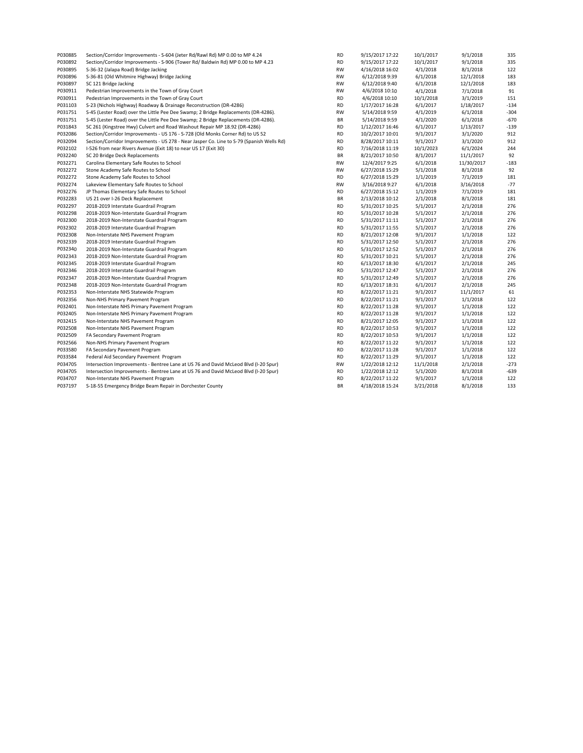| P030885 | Section/Corridor Improvements - S-604 (Jeter Rd/Rawl Rd) MP 0.00 to MP 4.24              | <b>RD</b> | 9/15/2017 17:22 | 10/1/2017 | 9/1/2018   | 335    |
|---------|------------------------------------------------------------------------------------------|-----------|-----------------|-----------|------------|--------|
| P030892 | Section/Corridor Improvements - S-906 (Tower Rd/ Baldwin Rd) MP 0.00 to MP 4.23          | RD        | 9/15/2017 17:22 | 10/1/2017 | 9/1/2018   | 335    |
| P030895 | S-36-32 (Jalapa Road) Bridge Jacking                                                     | <b>RW</b> | 4/16/2018 16:02 | 4/1/2018  | 8/1/2018   | 122    |
| P030896 | S-36-81 (Old Whitmire Highway) Bridge Jacking                                            | <b>RW</b> | 6/12/2018 9:39  | 6/1/2018  | 12/1/2018  | 183    |
| P030897 | SC 121 Bridge Jacking                                                                    | <b>RW</b> | 6/12/2018 9:40  | 6/1/2018  | 12/1/2018  | 183    |
| P030911 | Pedestrian Improvements in the Town of Gray Court                                        | RW        | 4/6/2018 10:10  | 4/1/2018  | 7/1/2018   | 91     |
| P030911 | Pedestrian Improvements in the Town of Gray Court                                        | <b>RD</b> | 4/6/2018 10:10  | 10/1/2018 | 3/1/2019   | 151    |
| P031103 | S-23 (Nichols Highway) Roadway & Drainage Reconstruction (DR-4286)                       | <b>RD</b> | 1/17/2017 16:28 | 6/1/2017  | 1/18/2017  | $-134$ |
| P031751 | S-45 (Lester Road) over the Little Pee Dee Swamp; 2 Bridge Replacements (DR-4286).       | RW        | 5/14/2018 9:59  | 4/1/2019  | 6/1/2018   | $-304$ |
| P031751 | S-45 (Lester Road) over the Little Pee Dee Swamp; 2 Bridge Replacements (DR-4286).       | BR        | 5/14/2018 9:59  | 4/1/2020  | 6/1/2018   | $-670$ |
| P031843 | SC 261 (Kingstree Hwy) Culvert and Road Washout Repair MP 18.92 (DR-4286)                | <b>RD</b> | 1/12/2017 16:46 | 6/1/2017  | 1/13/2017  | $-139$ |
| P032086 | Section/Corridor Improvements - US 176 - S-728 (Old Monks Corner Rd) to US 52            | <b>RD</b> | 10/2/2017 10:01 | 9/1/2017  | 3/1/2020   | 912    |
| P032094 | Section/Corridor Improvements - US 278 - Near Jasper Co. Line to S-79 (Spanish Wells Rd) | <b>RD</b> | 8/28/2017 10:11 | 9/1/2017  | 3/1/2020   | 912    |
| P032102 | I-526 from near Rivers Avenue (Exit 18) to near US 17 (Exit 30)                          | <b>RD</b> | 7/16/2018 11:19 | 10/1/2023 | 6/1/2024   | 244    |
| P032240 | SC 20 Bridge Deck Replacements                                                           | BR        | 8/21/2017 10:50 | 8/1/2017  | 11/1/2017  | 92     |
| P032271 | Carolina Elementary Safe Routes to School                                                | RW        | 12/4/2017 9:25  | 6/1/2018  | 11/30/2017 | $-183$ |
| P032272 | Stone Academy Safe Routes to School                                                      | RW        | 6/27/2018 15:29 | 5/1/2018  | 8/1/2018   | 92     |
| P032272 | Stone Academy Safe Routes to School                                                      | <b>RD</b> | 6/27/2018 15:29 | 1/1/2019  | 7/1/2019   | 181    |
| P032274 | Lakeview Elementary Safe Routes to School                                                | RW        | 3/16/2018 9:27  | 6/1/2018  | 3/16/2018  | $-77$  |
| P032276 | JP Thomas Elementary Safe Routes to School                                               | <b>RD</b> | 6/27/2018 15:12 | 1/1/2019  | 7/1/2019   | 181    |
| P032283 | US 21 over I-26 Deck Replacement                                                         | BR        | 2/13/2018 10:12 | 2/1/2018  | 8/1/2018   | 181    |
| P032297 | 2018-2019 Interstate Guardrail Program                                                   | <b>RD</b> | 5/31/2017 10:25 | 5/1/2017  | 2/1/2018   | 276    |
| P032298 | 2018-2019 Non-Interstate Guardrail Program                                               | <b>RD</b> | 5/31/2017 10:28 | 5/1/2017  | 2/1/2018   | 276    |
| P032300 | 2018-2019 Non-Interstate Guardrail Program                                               | <b>RD</b> | 5/31/2017 11:11 | 5/1/2017  | 2/1/2018   | 276    |
| P032302 | 2018-2019 Interstate Guardrail Program                                                   | <b>RD</b> | 5/31/2017 11:55 | 5/1/2017  | 2/1/2018   | 276    |
| P032308 | Non-Interstate NHS Pavement Program                                                      | <b>RD</b> | 8/21/2017 12:08 | 9/1/2017  | 1/1/2018   | 122    |
| P032339 | 2018-2019 Interstate Guardrail Program                                                   | <b>RD</b> | 5/31/2017 12:50 | 5/1/2017  | 2/1/2018   | 276    |
| P032340 | 2018-2019 Non-Interstate Guardrail Program                                               | <b>RD</b> | 5/31/2017 12:52 | 5/1/2017  | 2/1/2018   | 276    |
| P032343 | 2018-2019 Non-Interstate Guardrail Program                                               | <b>RD</b> | 5/31/2017 10:21 | 5/1/2017  | 2/1/2018   | 276    |
| P032345 | 2018-2019 Interstate Guardrail Program                                                   | <b>RD</b> | 6/13/2017 18:30 | 6/1/2017  | 2/1/2018   | 245    |
| P032346 | 2018-2019 Interstate Guardrail Program                                                   | <b>RD</b> | 5/31/2017 12:47 | 5/1/2017  | 2/1/2018   | 276    |
| P032347 | 2018-2019 Non-Interstate Guardrail Program                                               | <b>RD</b> | 5/31/2017 12:49 | 5/1/2017  | 2/1/2018   | 276    |
| P032348 | 2018-2019 Non-Interstate Guardrail Program                                               | <b>RD</b> | 6/13/2017 18:31 | 6/1/2017  | 2/1/2018   | 245    |
| P032353 | Non-Interstate NHS Statewide Program                                                     | <b>RD</b> | 8/22/2017 11:21 | 9/1/2017  | 11/1/2017  | 61     |
| P032356 | Non-NHS Primary Pavement Program                                                         | <b>RD</b> | 8/22/2017 11:21 | 9/1/2017  | 1/1/2018   | 122    |
| P032401 | Non-Interstate NHS Primary Pavement Program                                              | <b>RD</b> | 8/22/2017 11:28 | 9/1/2017  | 1/1/2018   | 122    |
| P032405 | Non-Interstate NHS Primary Pavement Program                                              | <b>RD</b> | 8/22/2017 11:28 | 9/1/2017  | 1/1/2018   | 122    |
| P032415 | Non-Interstate NHS Pavement Program                                                      | <b>RD</b> | 8/21/2017 12:05 | 9/1/2017  | 1/1/2018   | 122    |
| P032508 | Non-Interstate NHS Pavement Program                                                      | <b>RD</b> | 8/22/2017 10:53 | 9/1/2017  | 1/1/2018   | 122    |
| P032509 | FA Secondary Pavement Program                                                            | <b>RD</b> | 8/22/2017 10:53 | 9/1/2017  | 1/1/2018   | 122    |
| P032566 | Non-NHS Primary Pavement Program                                                         | <b>RD</b> | 8/22/2017 11:22 | 9/1/2017  | 1/1/2018   | 122    |
| P033580 | FA Secondary Pavement Program                                                            | <b>RD</b> | 8/22/2017 11:28 | 9/1/2017  | 1/1/2018   | 122    |
| P033584 | Federal Aid Secondary Pavement Program                                                   | <b>RD</b> | 8/22/2017 11:29 | 9/1/2017  | 1/1/2018   | 122    |
| P034705 | Intersection Improvements - Bentree Lane at US 76 and David McLeod Blvd (I-20 Spur)      | RW        | 1/22/2018 12:12 | 11/1/2018 | 2/1/2018   | $-273$ |
| P034705 | Intersection Improvements - Bentree Lane at US 76 and David McLeod Blvd (I-20 Spur)      | <b>RD</b> | 1/22/2018 12:12 | 5/1/2020  | 8/1/2018   | $-639$ |
| P034707 | Non-Interstate NHS Pavement Program                                                      | <b>RD</b> | 8/22/2017 11:22 | 9/1/2017  | 1/1/2018   | 122    |
| P037197 | S-18-55 Emergency Bridge Beam Repair in Dorchester County                                | BR        | 4/18/2018 15:24 | 3/21/2018 | 8/1/2018   | 133    |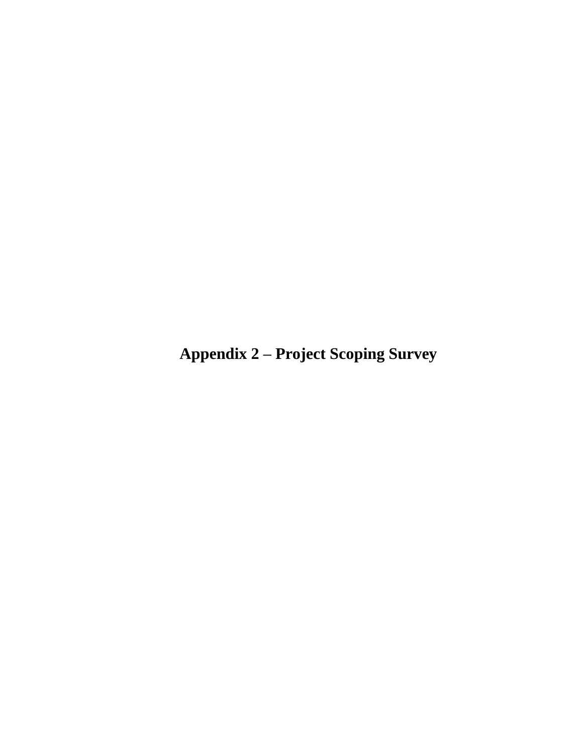**Appendix 2 – Project Scoping Survey**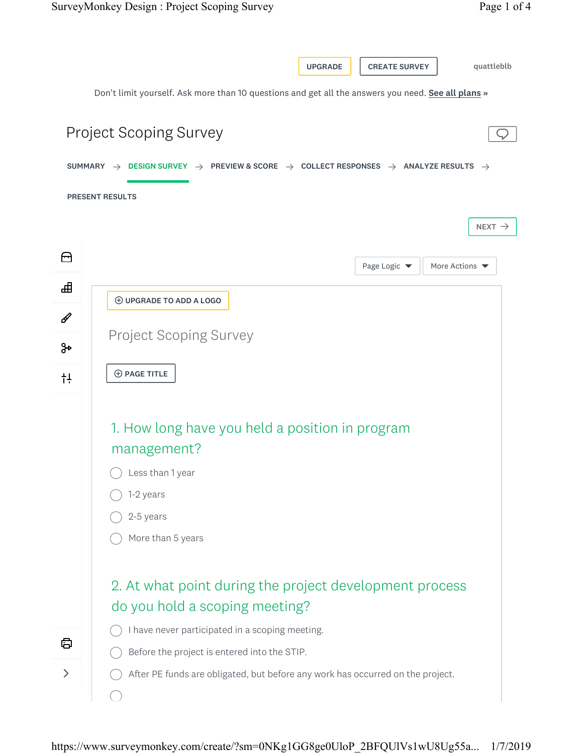|                              | <b>UPGRADE</b><br><b>CREATE SURVEY</b><br>quattleblb                                                                                          |
|------------------------------|-----------------------------------------------------------------------------------------------------------------------------------------------|
|                              | Don't limit yourself. Ask more than 10 questions and get all the answers you need. See all plans »                                            |
|                              | <b>Project Scoping Survey</b>                                                                                                                 |
|                              | SUMMARY $\rightarrow$ DESIGN SURVEY $\rightarrow$ PREVIEW & SCORE $\rightarrow$ COLLECT RESPONSES $\rightarrow$ ANALYZE RESULTS $\rightarrow$ |
|                              | <b>PRESENT RESULTS</b>                                                                                                                        |
|                              | NEXT $\rightarrow$                                                                                                                            |
| ⊟                            | More Actions $\blacktriangledown$<br>Page Logic $\blacktriangledown$                                                                          |
| ᇻ                            | <b>HE UPGRADE TO ADD A LOGO</b>                                                                                                               |
| в                            |                                                                                                                                               |
| ୫                            | <b>Project Scoping Survey</b>                                                                                                                 |
| $+1$                         | <b>⊕ PAGE TITLE</b>                                                                                                                           |
|                              |                                                                                                                                               |
|                              | 1. How long have you held a position in program                                                                                               |
|                              | management?                                                                                                                                   |
|                              | Less than 1 year                                                                                                                              |
|                              | 1-2 years                                                                                                                                     |
|                              | 2-5 years                                                                                                                                     |
|                              | More than 5 years                                                                                                                             |
|                              | 2. At what point during the project development process                                                                                       |
|                              | do you hold a scoping meeting?                                                                                                                |
|                              | I have never participated in a scoping meeting.                                                                                               |
| ₿                            | Before the project is entered into the STIP.                                                                                                  |
| $\left\langle \right\rangle$ | After PE funds are obligated, but before any work has occurred on the project.                                                                |
|                              | $(\ )$                                                                                                                                        |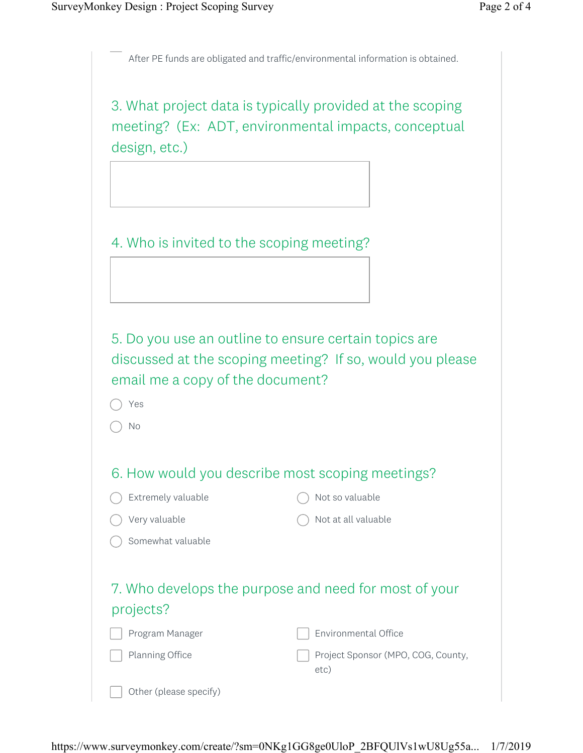After PE funds are obligated and traffic/environmental information is obtained.

3. What project data is typically provided at the scoping meeting? (Ex: ADT, environmental impacts, conceptual design, etc.)

4. Who is invited to the scoping meeting?

5. Do you use an outline to ensure certain topics are discussed at the scoping meeting? If so, would you please email me a copy of the document?

| Yes                                                   |                                            |
|-------------------------------------------------------|--------------------------------------------|
| No                                                    |                                            |
|                                                       |                                            |
| 6. How would you describe most scoping meetings?      |                                            |
| Extremely valuable                                    | Not so valuable                            |
| Very valuable                                         | Not at all valuable                        |
| Somewhat valuable                                     |                                            |
|                                                       |                                            |
| 7. Who develops the purpose and need for most of your |                                            |
| projects?                                             |                                            |
| Program Manager                                       | Environmental Office                       |
| Planning Office                                       | Project Sponsor (MPO, COG, County,<br>etc) |
| Other (please specify)                                |                                            |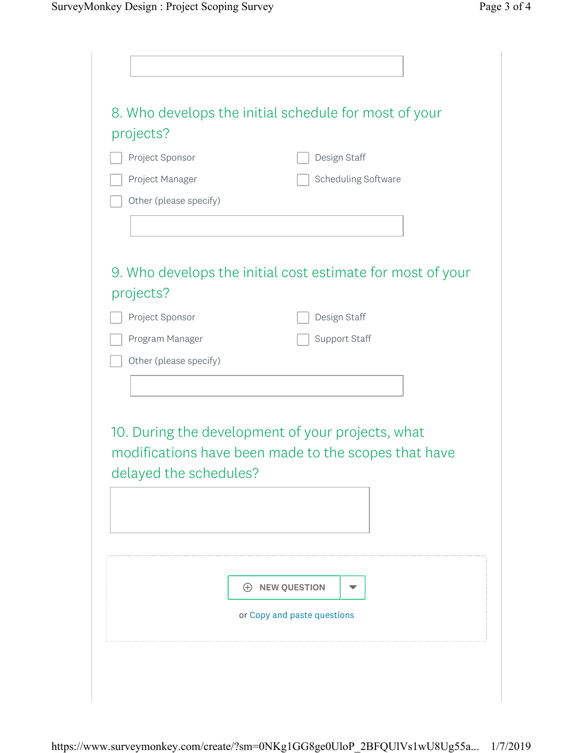| Project Sponsor        |                                                   | Design Staff                                               |
|------------------------|---------------------------------------------------|------------------------------------------------------------|
| Project Manager        |                                                   | Scheduling Software                                        |
| Other (please specify) |                                                   |                                                            |
|                        |                                                   |                                                            |
| projects?              |                                                   | 9. Who develops the initial cost estimate for most of your |
| Project Sponsor        |                                                   | Design Staff                                               |
| Program Manager        |                                                   | Support Staff                                              |
| Other (please specify) |                                                   |                                                            |
|                        |                                                   |                                                            |
|                        |                                                   |                                                            |
| delayed the schedules? | 10. During the development of your projects, what | modifications have been made to the scopes that have       |
|                        | <b>E</b> NEW QUESTION                             | v                                                          |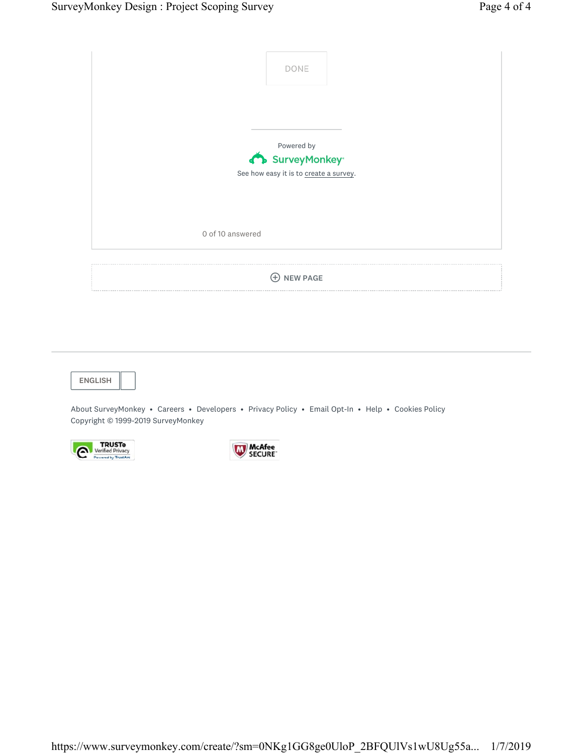|                  | DONE                                   |
|------------------|----------------------------------------|
|                  |                                        |
|                  | Powered by<br>SurveyMonkey®            |
|                  | See how easy it is to create a survey. |
| 0 of 10 answered |                                        |
|                  | <b>NEW PAGE</b><br>$^{(+)}$            |

ENGLISH

Copyright © 1999-2019 SurveyMonkey About SurveyMonkey • Careers • Developers • Privacy Policy • Email Opt-In • Help • Cookies Policy



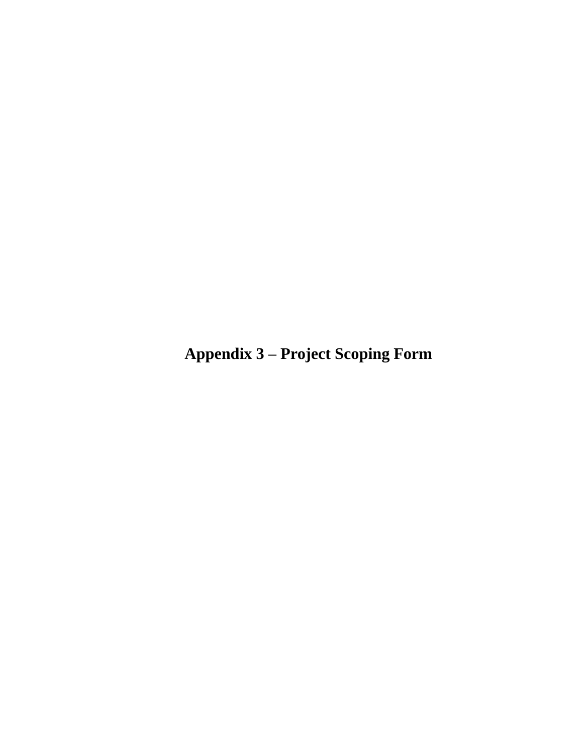**Appendix 3 – Project Scoping Form**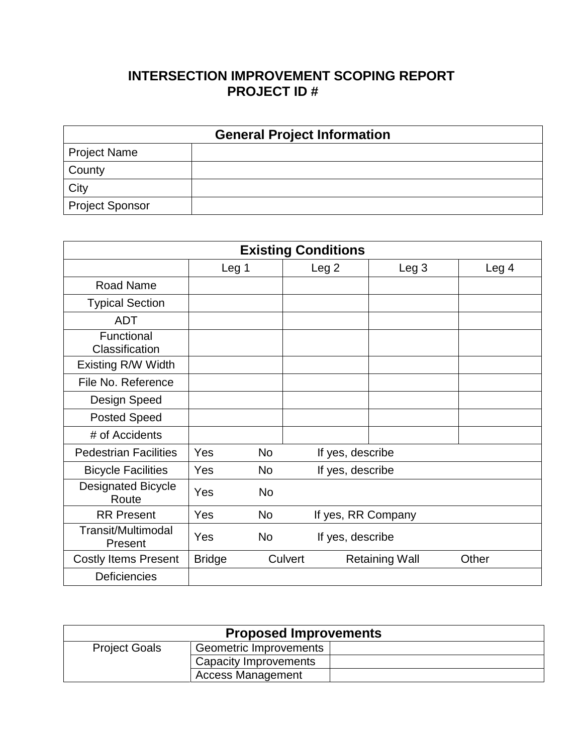# **INTERSECTION IMPROVEMENT SCOPING REPORT PROJECT ID #**

| <b>General Project Information</b> |  |  |  |  |  |
|------------------------------------|--|--|--|--|--|
| <b>Project Name</b>                |  |  |  |  |  |
| County                             |  |  |  |  |  |
| City                               |  |  |  |  |  |
| <b>Project Sponsor</b>             |  |  |  |  |  |

| <b>Existing Conditions</b>         |               |           |                    |                       |                  |  |  |
|------------------------------------|---------------|-----------|--------------------|-----------------------|------------------|--|--|
|                                    | Leg 1         |           | Leg 2              | Leg <sub>3</sub>      | Leg <sub>4</sub> |  |  |
| Road Name                          |               |           |                    |                       |                  |  |  |
| <b>Typical Section</b>             |               |           |                    |                       |                  |  |  |
| <b>ADT</b>                         |               |           |                    |                       |                  |  |  |
| Functional<br>Classification       |               |           |                    |                       |                  |  |  |
| Existing R/W Width                 |               |           |                    |                       |                  |  |  |
| File No. Reference                 |               |           |                    |                       |                  |  |  |
| Design Speed                       |               |           |                    |                       |                  |  |  |
| <b>Posted Speed</b>                |               |           |                    |                       |                  |  |  |
| # of Accidents                     |               |           |                    |                       |                  |  |  |
| <b>Pedestrian Facilities</b>       | Yes           | <b>No</b> | If yes, describe   |                       |                  |  |  |
| <b>Bicycle Facilities</b>          | Yes           | No        | If yes, describe   |                       |                  |  |  |
| <b>Designated Bicycle</b><br>Route | Yes           | <b>No</b> |                    |                       |                  |  |  |
| <b>RR Present</b>                  | Yes           | <b>No</b> | If yes, RR Company |                       |                  |  |  |
| Transit/Multimodal<br>Present      | Yes           | <b>No</b> | If yes, describe   |                       |                  |  |  |
| <b>Costly Items Present</b>        | <b>Bridge</b> | Culvert   |                    | <b>Retaining Wall</b> | Other            |  |  |
| <b>Deficiencies</b>                |               |           |                    |                       |                  |  |  |

| <b>Proposed Improvements</b> |                          |  |
|------------------------------|--------------------------|--|
| <b>Project Goals</b>         | Geometric Improvements   |  |
|                              | Capacity Improvements    |  |
|                              | <b>Access Management</b> |  |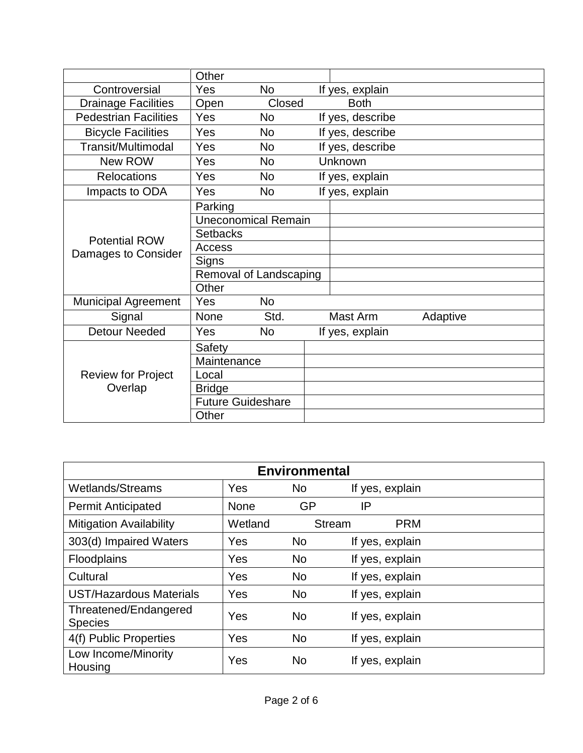|                              | Other                      |           |  |                  |          |  |
|------------------------------|----------------------------|-----------|--|------------------|----------|--|
| Controversial                | Yes                        | <b>No</b> |  | If yes, explain  |          |  |
| <b>Drainage Facilities</b>   | Open                       | Closed    |  | <b>Both</b>      |          |  |
| <b>Pedestrian Facilities</b> | Yes                        | <b>No</b> |  | If yes, describe |          |  |
| <b>Bicycle Facilities</b>    | Yes                        | <b>No</b> |  | If yes, describe |          |  |
| Transit/Multimodal           | Yes                        | <b>No</b> |  | If yes, describe |          |  |
| New ROW                      | Yes                        | <b>No</b> |  | Unknown          |          |  |
| <b>Relocations</b>           | Yes                        | <b>No</b> |  | If yes, explain  |          |  |
| Impacts to ODA               | Yes                        | <b>No</b> |  | If yes, explain  |          |  |
|                              | Parking                    |           |  |                  |          |  |
|                              | <b>Uneconomical Remain</b> |           |  |                  |          |  |
| <b>Potential ROW</b>         | <b>Setbacks</b>            |           |  |                  |          |  |
| Damages to Consider          | Access                     |           |  |                  |          |  |
|                              | Signs                      |           |  |                  |          |  |
|                              | Removal of Landscaping     |           |  |                  |          |  |
|                              | Other                      |           |  |                  |          |  |
| <b>Municipal Agreement</b>   | Yes                        | <b>No</b> |  |                  |          |  |
| Signal                       | None                       | Std.      |  | Mast Arm         | Adaptive |  |
| <b>Detour Needed</b>         | Yes                        | <b>No</b> |  | If yes, explain  |          |  |
|                              | Safety                     |           |  |                  |          |  |
|                              | Maintenance                |           |  |                  |          |  |
| <b>Review for Project</b>    | Local                      |           |  |                  |          |  |
| Overlap                      | <b>Bridge</b>              |           |  |                  |          |  |
|                              | <b>Future Guideshare</b>   |           |  |                  |          |  |
|                              | Other                      |           |  |                  |          |  |

| <b>Environmental</b>                    |             |           |                 |            |  |
|-----------------------------------------|-------------|-----------|-----------------|------------|--|
| <b>Wetlands/Streams</b>                 | Yes         | No        | If yes, explain |            |  |
| <b>Permit Anticipated</b>               | <b>None</b> | <b>GP</b> | IP              |            |  |
| <b>Mitigation Availability</b>          | Wetland     |           | <b>Stream</b>   | <b>PRM</b> |  |
| 303(d) Impaired Waters                  | Yes         | <b>No</b> | If yes, explain |            |  |
| Floodplains                             | Yes         | <b>No</b> | If yes, explain |            |  |
| Cultural                                | Yes         | <b>No</b> | If yes, explain |            |  |
| <b>UST/Hazardous Materials</b>          | Yes         | <b>No</b> | If yes, explain |            |  |
| Threatened/Endangered<br><b>Species</b> | Yes         | <b>No</b> | If yes, explain |            |  |
| 4(f) Public Properties                  | Yes         | <b>No</b> | If yes, explain |            |  |
| Low Income/Minority<br>Housing          | Yes         | <b>No</b> | If yes, explain |            |  |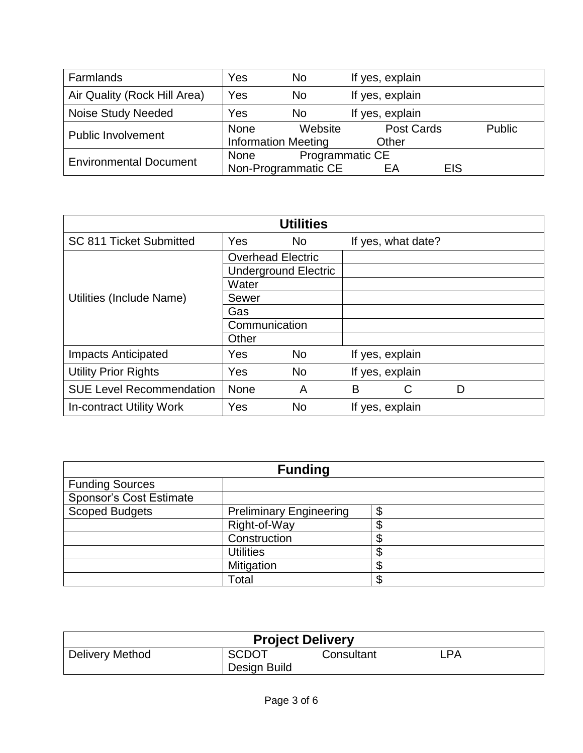| Farmlands                     | Yes                        | <b>No</b>                    | If yes, explain  |        |
|-------------------------------|----------------------------|------------------------------|------------------|--------|
| Air Quality (Rock Hill Area)  | Yes                        | <b>No</b><br>If yes, explain |                  |        |
| <b>Noise Study Needed</b>     | Yes                        | <b>No</b>                    | If yes, explain  |        |
| <b>Public Involvement</b>     | None                       | Website                      | Post Cards       | Public |
|                               | <b>Information Meeting</b> |                              | Other            |        |
| <b>Environmental Document</b> | None                       | Programmatic CE              |                  |        |
|                               | Non-Programmatic CE        |                              | <b>EIS</b><br>EА |        |

| <b>Utilities</b>                |            |                             |   |                    |   |  |
|---------------------------------|------------|-----------------------------|---|--------------------|---|--|
| SC 811 Ticket Submitted         | Yes        | <b>No</b>                   |   | If yes, what date? |   |  |
|                                 |            | <b>Overhead Electric</b>    |   |                    |   |  |
|                                 |            | <b>Underground Electric</b> |   |                    |   |  |
|                                 | Water      |                             |   |                    |   |  |
| Utilities (Include Name)        | Sewer      |                             |   |                    |   |  |
|                                 | Gas        |                             |   |                    |   |  |
|                                 |            | Communication               |   |                    |   |  |
|                                 | Other      |                             |   |                    |   |  |
| <b>Impacts Anticipated</b>      | <b>Yes</b> | <b>No</b>                   |   | If yes, explain    |   |  |
| <b>Utility Prior Rights</b>     | Yes        | <b>No</b>                   |   | If yes, explain    |   |  |
| <b>SUE Level Recommendation</b> | None       | A                           | B | С                  | D |  |
| In-contract Utility Work        | Yes        | <b>No</b>                   |   | If yes, explain    |   |  |

| <b>Funding</b>                 |                                |   |  |  |
|--------------------------------|--------------------------------|---|--|--|
| <b>Funding Sources</b>         |                                |   |  |  |
| <b>Sponsor's Cost Estimate</b> |                                |   |  |  |
| <b>Scoped Budgets</b>          | <b>Preliminary Engineering</b> | æ |  |  |
|                                | Right-of-Way                   |   |  |  |
|                                | Construction                   |   |  |  |
|                                | <b>Utilities</b>               |   |  |  |
|                                | Mitigation                     |   |  |  |
|                                | Total                          |   |  |  |

| <b>Project Delivery</b> |                              |            |     |  |
|-------------------------|------------------------------|------------|-----|--|
| Delivery Method         | <b>SCDOT</b><br>Design Build | Consultant | _PA |  |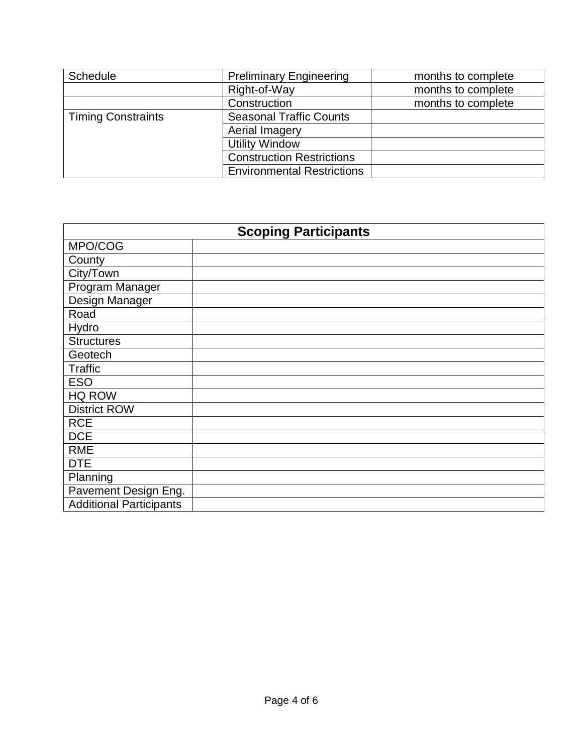| <b>Schedule</b>           | <b>Preliminary Engineering</b>    | months to complete |
|---------------------------|-----------------------------------|--------------------|
|                           | Right-of-Way                      | months to complete |
|                           | Construction                      | months to complete |
| <b>Timing Constraints</b> | <b>Seasonal Traffic Counts</b>    |                    |
|                           | Aerial Imagery                    |                    |
|                           | <b>Utility Window</b>             |                    |
|                           | <b>Construction Restrictions</b>  |                    |
|                           | <b>Environmental Restrictions</b> |                    |

| <b>Scoping Participants</b>    |  |  |
|--------------------------------|--|--|
| MPO/COG                        |  |  |
| County                         |  |  |
| City/Town                      |  |  |
| Program Manager                |  |  |
| Design Manager                 |  |  |
| Road                           |  |  |
| Hydro                          |  |  |
| <b>Structures</b>              |  |  |
| Geotech                        |  |  |
| <b>Traffic</b>                 |  |  |
| <b>ESO</b>                     |  |  |
| HQ ROW                         |  |  |
| <b>District ROW</b>            |  |  |
| <b>RCE</b>                     |  |  |
| <b>DCE</b>                     |  |  |
| <b>RME</b>                     |  |  |
| <b>DTE</b>                     |  |  |
| Planning                       |  |  |
| Pavement Design Eng.           |  |  |
| <b>Additional Participants</b> |  |  |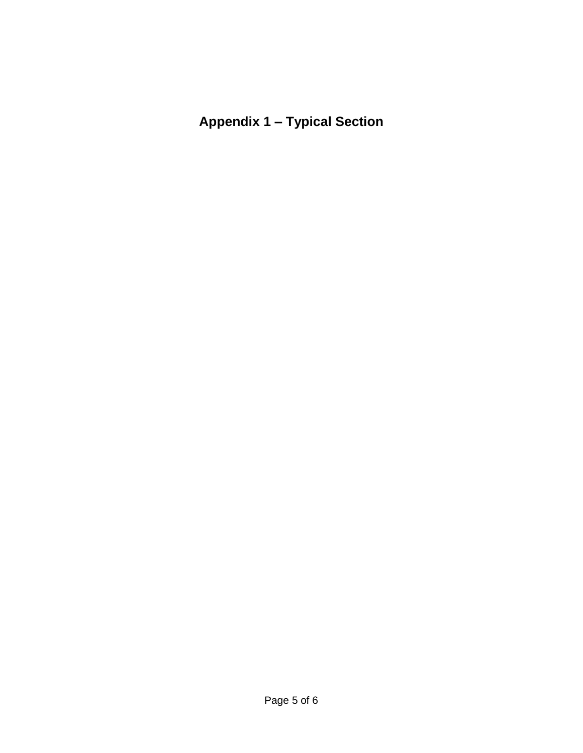**Appendix 1 – Typical Section**